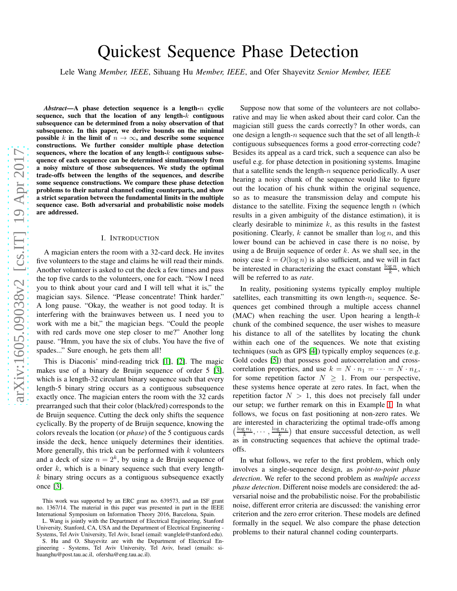# Quickest Sequence Phase Detection

Lele Wang *Member, IEEE*, Sihuang Hu *Member, IEEE*, and Ofer Shayevitz *Senior Member, IEEE*

*Abstract*—A phase detection sequence is a length-n cyclic sequence, such that the location of any length- $k$  contiguous subsequence can be determined from a noisy observation of that subsequence. In this paper, we derive bounds on the minimal possible k in the limit of  $n \to \infty$ , and describe some sequence constructions. We further consider multiple phase detection sequences, where the location of any length- $k$  contiguous subsequence of each sequence can be determined simultaneously from a noisy mixture of those subsequences. We study the optimal trade-offs between the lengths of the sequences, and describe some sequence constructions. We compare these phase detection problems to their natural channel coding counterparts, and show a strict separation between the fundamental limits in the multiple sequence case. Both adversarial and probabilistic noise models are addressed.

## I. INTRODUCTION

A magician enters the room with a 32-card deck. He invites five volunteers to the stage and claims he will read their minds. Another volunteer is asked to cut the deck a few times and pass the top five cards to the volunteers, one for each. "Now I need you to think about your card and I will tell what it is," the magician says. Silence. "Please concentrate! Think harder." A long pause. "Okay, the weather is not good today. It is interfering with the brainwaves between us. I need you to work with me a bit," the magician begs. "Could the people with red cards move one step closer to me?" Another long pause. "Hmm, you have the six of clubs. You have the five of spades..." Sure enough, he gets them all!

This is Diaconis' mind-reading trick [\[1\]](#page-14-0), [\[2\]](#page-14-1). The magic makes use of a binary de Bruijn sequence of order 5 [\[3\]](#page-14-2), which is a length-32 circulant binary sequence such that every length-5 binary string occurs as a contiguous subsequence exactly once. The magician enters the room with the 32 cards prearranged such that their color (black/red) corresponds to the de Bruijn sequence. Cutting the deck only shifts the sequence cyclically. By the property of de Bruijn sequence, knowing the colors reveals the location (or *phase*) of the 5 contiguous cards inside the deck, hence uniquely determines their identities. More generally, this trick can be performed with  $k$  volunteers and a deck of size  $n = 2<sup>k</sup>$ , by using a de Bruijn sequence of order k, which is a binary sequence such that every length $k$  binary string occurs as a contiguous subsequence exactly once [\[3\]](#page-14-2).

L. Wang is jointly with the Department of Electrical Engineering, Stanford University, Stanford, CA, USA and the Department of Electrical Engineering - Systems, Tel Aviv University, Tel Aviv, Israel (email: wanglele@stanford.edu).

Suppose now that some of the volunteers are not collaborative and may lie when asked about their card color. Can the magician still guess the cards correctly? In other words, ca n one design a length- $n$  sequence such that the set of all length- $k$ contiguous subsequences forms a good error-correcting code? Besides its appeal as a card trick, such a sequence can also be useful e.g. for phase detection in positioning systems. Imagine that a satellite sends the length- $n$  sequence periodically. A user hearing a noisy chunk of the sequence would like to figure out the location of his chunk within the original sequence, so as to measure the transmission delay and compute his distance to the satellite. Fixing the sequence length  $n$  (which results in a given ambiguity of the distance estimation), it is clearly desirable to minimize  $k$ , as this results in the fastest positioning. Clearly,  $k$  cannot be smaller than  $\log n$ , and this lower bound can be achieved in case there is no noise, by using a de Bruijn sequence of order  $k$ . As we shall see, in the noisy case  $k = O(\log n)$  is also sufficient, and we will in fact be interested in characterizing the exact constant  $\frac{\log n}{k}$ , which will be referred to as *rate* .

In reality, positioning systems typically employ multiple satellites, each transmitting its own length- $n_i$  sequence. Sequences get combined through a multiple access channel (MAC) when reaching the user. Upon hearing a length- $k$ chunk of the combined sequence, the user wishes to measure his distance to all of the satellites by locating the chunk within each one of the sequences. We note that existing techniques (such as GPS [\[4\]](#page-14-3)) typically employ sequences (e.g. Gold codes [\[5\]](#page-14-4)) that possess good autocorrelation and crosscorrelation properties, and use  $k = N \cdot n_1 = \cdots = N \cdot n_L$ , for some repetition factor  $N \geq 1$ . From our perspective, these systems hence operate at zero rates. In fact, when the repetition factor  $N > 1$ , this does not precisely fall under our setup; we further remark on this in Example [1.](#page-6-0) In what follows, we focus on fast positioning at non-zero rates. We are interested in characterizing the optimal trade-offs among  $\left(\frac{\log n_1}{k}, \cdots, \frac{\log n_L}{k}\right)$  that ensure successful detection, as well as in constructing sequences that achieve the optimal trade offs.

In what follows, we refer to the first problem, which only involves a single-sequence design, as *point-to-point phase detection*. We refer to the second problem as *multiple access phase detection*. Different noise models are considered: the adversarial noise and the probabilistic noise. For the probabilistic noise, different error criteria are discussed: the vanishing error criterion and the zero error criterion. These models are defined formally in the sequel. We also compare the phase detection problems to their natural channel coding counterparts.

This work was supported by an ERC grant no. 639573, and an ISF grant no. 1367/14. The material in this paper was presented in part in the IEEE International Symposium on Information Theory 2016, Barcelona, Spain.

S. Hu and O. Shayevitz are with the Department of Electrical Engineering - Systems, Tel Aviv University, Tel Aviv, Israel (emails: sihuanghu@post.tau.ac.il, ofersha@eng.tau.ac.il).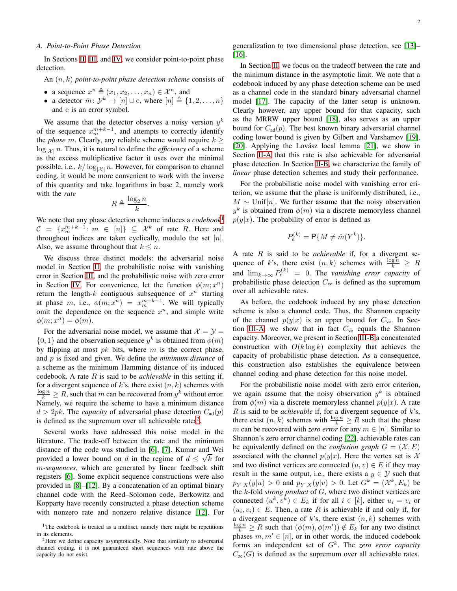## <span id="page-1-2"></span>*A. Point-to-Point Phase Detection*

In Sections [II,](#page-2-0) [III,](#page-5-0) and [IV,](#page-8-0) we consider point-to-point phase detection.

An (n, k) *point-to-point phase detection scheme* consists of

- a sequence  $x^n \triangleq (x_1, x_2, \dots, x_n) \in \mathcal{X}^n$ , and
- a detector  $\hat{m}$ :  $\mathcal{Y}^k \to [n] \cup$  e, where  $[n] \triangleq \{1, 2, ..., n\}$ and e is an error symbol.

We assume that the detector observes a noisy version  $y^k$ of the sequence  $x_m^{m+k-1}$ , and attempts to correctly identify the *phase* m. Clearly, any reliable scheme would require  $k \geq$  $\log_{|x|} n$ . Thus, it is natural to define the *efficiency* of a scheme as the excess multiplicative factor it uses over the minimal possible, i.e.,  $k/\log_{|\mathcal{X}|} n$ . However, for comparison to channel coding, it would be more convenient to work with the inverse of this quantity and take logarithms in base 2, namely work with the *rate*

$$
R \triangleq \frac{\log_2 n}{k}
$$

.

We note that any phase detection scheme induces a *codebook*[1](#page-1-0)  $C = \{x_m^{m+k-1} : m \in [n]\}\subseteq \mathcal{X}^k$  of rate R. Here and throughout indices are taken cyclically, modulo the set  $[n]$ . Also, we assume throughout that  $k \leq n$ .

We discuss three distinct models: the adversarial noise model in Section [II,](#page-2-0) the probabilistic noise with vanishing error in Section [III,](#page-5-0) and the probabilistic noise with zero error in Section [IV.](#page-8-0) For convenience, let the function  $\phi(m; x^n)$ return the length- $k$  contiguous subsequence of  $x^n$  starting at phase m, i.e.,  $\phi(m; x^n) = x_m^{m+k-1}$ . We will typically omit the dependence on the sequence  $x^n$ , and simple write  $\phi(m; x^n) = \phi(m).$ 

For the adversarial noise model, we assume that  $\mathcal{X} = \mathcal{Y} =$  $\{0,1\}$  and the observation sequence  $y^k$  is obtained from  $\phi(m)$ by flipping at most  $pk$  bits, where m is the correct phase, and p is fixed and given. We define the *minimum distance* of a scheme as the minimum Hamming distance of its induced codebook. A rate R is said to be *achievable* in this setting if, for a divergent sequence of k's, there exist  $(n, k)$  schemes with  $\frac{\log n}{k} \geq R$ , such that m can be recovered from  $y^k$  without error. Namely, we require the scheme to have a minimum distance  $d > 2pk$ . The *capacity* of adversarial phase detection  $C_{ad}(p)$ is defined as the supremum over all achievable rates<sup>[2](#page-1-1)</sup>.

Several works have addressed this noise model in the literature. The trade-off between the rate and the minimum distance of the code was studied in [\[6\]](#page-14-5), [\[7\]](#page-14-6). Kumar and Wei provided a lower bound on d in the regime of  $d \leq \sqrt{k}$  for m*-sequences*, which are generated by linear feedback shift registers [\[6\]](#page-14-5). Some explicit sequence constructions were also provided in [\[8\]](#page-14-7)–[\[12\]](#page-14-8). By a concatenation of an optimal binary channel code with the Reed–Solomon code, Berkowitz and Kopparty have recently constructed a phase detection scheme with nonzero rate and nonzero relative distance [\[12\]](#page-14-8). For generalization to two dimensional phase detection, see [\[13\]](#page-14-9)– [\[16\]](#page-14-10).

In Section [II,](#page-2-0) we focus on the tradeoff between the rate and the minimum distance in the asymptotic limit. We note that a codebook induced by any phase detection scheme can be used as a channel code in the standard binary adversarial channel model [\[17\]](#page-14-11). The capacity of the latter setup is unknown. Clearly however, any upper bound for that capacity, such as the MRRW upper bound [\[18\]](#page-14-12), also serves as an upper bound for  $C_{ad}(p)$ . The best known binary adversarial channel coding lower bound is given by Gilbert and Varshamov [\[19\]](#page-14-13), [\[20\]](#page-14-14). Applying the Lovász local lemma  $[21]$ , we show in Section [II-A](#page-3-0) that this rate is also achievable for adversarial phase detection. In Section [II-B,](#page-3-1) we characterize the family of *linear* phase detection schemes and study their performance.

For the probabilistic noise model with vanishing error criterion, we assume that the phase is uniformly distributed, i.e.,  $M \sim$  Unif[n]. We further assume that the noisy observation  $y^k$  is obtained from  $\phi(m)$  via a discrete memoryless channel  $p(y|x)$ . The probability of error is defined as

$$
P_e^{(k)} = \mathsf{P}\{M \neq \hat{m}(Y^k)\}.
$$

A rate R is said to be *achievable* if, for a divergent sequence of k's, there exist  $(n, k)$  schemes with  $\frac{\log n}{k} \geq R$ and  $\lim_{k\to\infty} P_e^{(k)} = 0$ . The *vanishing error capacity* of probabilistic phase detection  $C_{ve}$  is defined as the supremum over all achievable rates.

As before, the codebook induced by any phase detection scheme is also a channel code. Thus, the Shannon capacity of the channel  $p(y|x)$  is an upper bound for  $C_{ve}$ . In Sec-tion [III-A,](#page-5-1) we show that in fact  $C_{ve}$  equals the Shannon capacity. Moreover, we present in Section [III-B](#page-6-1) a concatenated construction with  $O(k \log k)$  complexity that achieves the capacity of probabilistic phase detection. As a consequence, this construction also establishes the equivalence between channel coding and phase detection for this noise model.

For the probabilistic noise model with zero error criterion, we again assume that the noisy observation  $y^k$  is obtained from  $\phi(m)$  via a discrete memoryless channel  $p(y|x)$ . A rate R is said to be *achievable* if, for a divergent sequence of  $k$ 's, there exist  $(n, k)$  schemes with  $\frac{\log n}{k} \ge R$  such that the phase m can be recovered with *zero error* for any  $m \in [n]$ . Similar to Shannon's zero error channel coding [\[22\]](#page-14-16), achievable rates can be equivalently defined on the *confusion graph*  $G = (\mathcal{X}, E)$ associated with the channel  $p(y|x)$ . Here the vertex set is X and two distinct vertices are connected  $(u, v) \in E$  if they may result in the same output, i.e., there exists a  $y \in \mathcal{Y}$  such that  $p_{Y|X}(y|u) > 0$  and  $p_{Y|X}(y|v) > 0$ . Let  $G^k = (\mathcal{X}^k, E_k)$  be the k-fold *strong product* of G, where two distinct vertices are connected  $(u^k, v^k) \in E_k$  if for all  $i \in [k]$ , either  $u_i = v_i$  or  $(u_i, v_i) \in E$ . Then, a rate R is achievable if and only if, for a divergent sequence of k's, there exist  $(n, k)$  schemes with  $\frac{\log n}{k} \ge R$  such that  $(\phi(m), \phi(m')) \notin E_k$  for any two distinct phases  $m, m' \in [n]$ , or in other words, the induced codebook forms an independent set of  $G<sup>k</sup>$ . The *zero error capacity*  $C_{\text{ze}}(G)$  is defined as the supremum over all achievable rates.

<span id="page-1-0"></span><sup>&</sup>lt;sup>1</sup>The codebook is treated as a multiset, namely there might be repetitions in its elements.

<span id="page-1-1"></span><sup>&</sup>lt;sup>2</sup>Here we define capacity asymptotically. Note that similarly to adversarial channel coding, it is not guaranteed short sequences with rate above the capacity do not exist.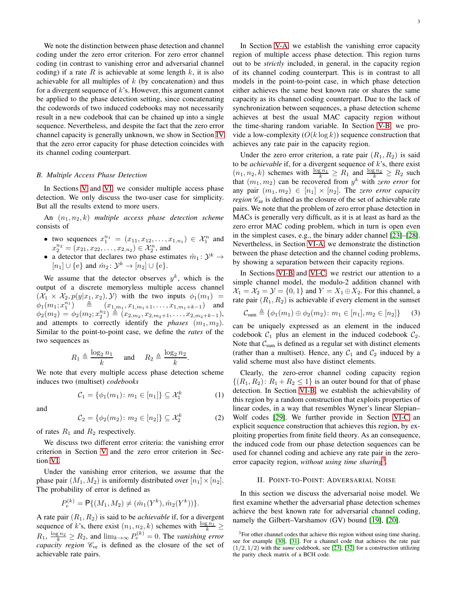We note the distinction between phase detection and channel coding under the zero error criterion. For zero error channel coding (in contrast to vanishing error and adversarial channel coding) if a rate R is achievable at some length  $k$ , it is also achievable for all multiples of  $k$  (by concatenation) and thus for a divergent sequence of  $k$ 's. However, this argument cannot be applied to the phase detection setting, since concatenating the codewords of two induced codebooks may not necessarily result in a new codebook that can be chained up into a single sequence. Nevertheless, and despite the fact that the zero error channel capacity is generally unknown, we show in Section [IV](#page-8-0) that the zero error capacity for phase detection coincides with its channel coding counterpart.

### *B. Multiple Access Phase Detection*

In Sections [V](#page-9-0) and [VI,](#page-12-0) we consider multiple access phase detection. We only discuss the two-user case for simplicity. But all the results extend to more users.

An  $(n_1, n_2, k)$  *multiple access phase detection scheme* consists of

- two sequences  $x_1^{n_1} = (x_{11}, x_{12}, \dots, x_{1,n_1}) \in \mathcal{X}_1^n$  and  $x_2^{n_2} = (x_{21}, x_{22}, \dots, x_{2,n_2}) \in \mathcal{X}_2^n$ , and
- a detector that declares two phase estimates  $\hat{m}_1 : \mathcal{Y}^k \to$  $[n_1] \cup \{e\}$  and  $\hat{m}_2 \colon \mathcal{Y}^k \to [n_2] \cup \{e\}.$

We assume that the detector observes  $y^k$ , which is the output of a discrete memoryless multiple access channel  $(\mathcal{X}_1 \times \mathcal{X}_2, p(y|x_1, x_2), \mathcal{Y})$  with the two inputs  $\phi_1(m_1)$  $\phi_1(m_1; x_1^{n_1}) \equiv (x_{1,m_1}, x_{1,m_1+1}, \ldots, x_{1,m_1+k-1})$  and  $\phi_2(m_2) = \phi_2(m_2; x_2^{n_2}) \triangleq (x_{2,m_2}, x_{2,m_2+1}, \ldots, x_{2,m_2+k-1}),$ and attempts to correctly identify the *phases*  $(m_1, m_2)$ . Similar to the point-to-point case, we define the *rates* of the two sequences as

$$
R_1 \triangleq \frac{\log_2 n_1}{k}
$$
 and  $R_2 \triangleq \frac{\log_2 n_2}{k}$ .

We note that every multiple access phase detection scheme induces two (multiset) *codebooks*

<span id="page-2-2"></span>
$$
C_1 = \{ \phi_1(m_1) \colon m_1 \in [n_1] \} \subseteq \mathcal{X}_1^k \tag{1}
$$

and

<span id="page-2-3"></span>
$$
C_2 = \{ \phi_2(m_2) \colon m_2 \in [n_2] \} \subseteq \mathcal{X}_2^k \tag{2}
$$

of rates  $R_1$  and  $R_2$  respectively.

We discuss two different error criteria: the vanishing error criterion in Section [V](#page-9-0) and the zero error criterion in Section [VI.](#page-12-0)

Under the vanishing error criterion, we assume that the phase pair  $(M_1, M_2)$  is uniformly distributed over  $[n_1] \times [n_2]$ . The probability of error is defined as

$$
P_e^{(k)} = \mathsf{P}\{(M_1, M_2) \neq (\hat{m}_1(Y^k), \hat{m}_2(Y^k))\}.
$$

A rate pair  $(R_1, R_2)$  is said to be *achievable* if, for a divergent sequence of k's, there exist  $(n_1, n_2, k)$  schemes with  $\frac{\log n_1}{k} \ge$  $R_1, \frac{\log n_2}{k} \ge R_2$ , and  $\lim_{k \to \infty} P_e^{(k)} = 0$ . The *vanishing error capacity region*  $\mathcal{C}_{ve}$  is defined as the closure of the set of achievable rate pairs.

In Section [V-A,](#page-9-1) we establish the vanishing error capacity region of multiple access phase detection. This region turns out to be *strictly* included, in general, in the capacity region of its channel coding counterpart. This is in contrast to all models in the point-to-point case, in which phase detection either achieves the same best known rate or shares the same capacity as its channel coding counterpart. Due to the lack of synchronization between sequences, a phase detection scheme achieves at best the usual MAC capacity region without the time-sharing random variable. In Section [V-B,](#page-11-0) we provide a low-complexity  $(O(k \log k))$  sequence construction that achieves any rate pair in the capacity region.

Under the zero error criterion, a rate pair  $(R_1, R_2)$  is said to be *achievable* if, for a divergent sequence of k's, there exist  $(n_1, n_2, k)$  schemes with  $\frac{\log n_1}{k} \geq R_1$  and  $\frac{\log n_2}{k} \geq R_2$  such that  $(m_1, m_2)$  can be recovered from  $y^k$  with *zero error* for any pair  $(m_1, m_2) \in [n_1] \times [n_2]$ . The *zero error capacity region*  $\mathcal{C}_{\text{ze}}$  is defined as the closure of the set of achievable rate pairs. We note that the problem of zero error phase detection in MACs is generally very difficult, as it is at least as hard as the zero error MAC coding problem, which in turn is open even in the simplest cases, e.g., the binary adder channel [\[23\]](#page-14-17)–[\[28\]](#page-15-0). Nevertheless, in Section [VI-A,](#page-12-1) we demonstrate the distinction between the phase detection and the channel coding problems, by showing a separation between their capacity regions.

In Sections [VI-B](#page-13-0) and [VI-C,](#page-13-1) we restrict our attention to a simple channel model, the modulo-2 addition channel with  $X_1 = X_2 = Y = \{0, 1\}$  and  $Y = X_1 \oplus X_2$ . For this channel, a rate pair  $(R_1, R_2)$  is achievable if every element in the sumset

<span id="page-2-4"></span>
$$
\mathcal{C}_{sum} \triangleq \{ \phi_1(m_1) \oplus \phi_2(m_2) \colon m_1 \in [n_1], m_2 \in [n_2] \} \tag{3}
$$

can be uniquely expressed as an element in the induced codebook  $C_1$  plus an element in the induced codebook  $C_2$ . Note that  $C_{sum}$  is defined as a regular set with distinct elements (rather than a multiset). Hence, any  $C_1$  and  $C_2$  induced by a valid scheme must also have distinct elements.

Clearly, the zero-error channel coding capacity region  $\{(R_1, R_2): R_1 + R_2 \leq 1\}$  is an outer bound for that of phase detection. In Section [VI-B,](#page-13-0) we establish the achievability of this region by a random construction that exploits properties of linear codes, in a way that resembles Wyner's linear Slepian– Wolf codes [\[29\]](#page-15-1). We further provide in Section [VI-C](#page-13-1) an explicit sequence construction that achieves this region, by exploiting properties from finite field theory. As an consequence, the induced code from our phase detection sequences can be used for channel coding and achieve any rate pair in the zeroerror capacity region, *without using time sharing*<sup>[3](#page-2-1)</sup>.

## II. POINT-TO-POINT: ADVERSARIAL NOISE

<span id="page-2-0"></span>In this section we discuss the adversarial noise model. We first examine whether the adversarial phase detection schemes achieve the best known rate for adversarial channel coding, namely the Gilbert–Varshamov (GV) bound [\[19\]](#page-14-13), [\[20\]](#page-14-14).

<span id="page-2-1"></span><sup>&</sup>lt;sup>3</sup>For other channel codes that achieve this region without using time sharing, see for example [\[30\]](#page-15-2), [\[31\]](#page-15-3). For a channel code that achieves the rate pair (1/2, 1/2) with the *same* codebook, see [\[23\]](#page-14-17), [\[32\]](#page-15-4) for a construction utilizing the parity check matrix of a BCH code.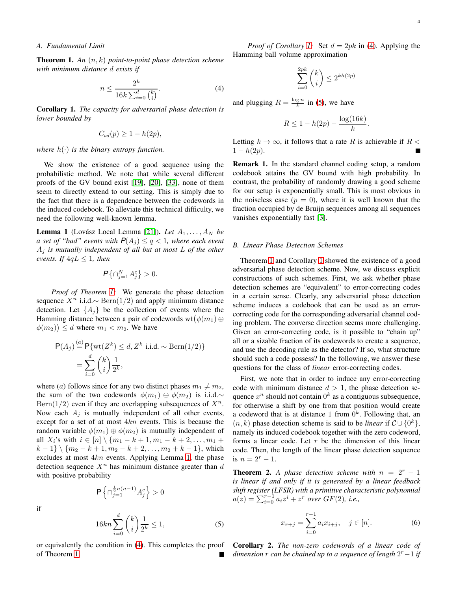<span id="page-3-2"></span><span id="page-3-0"></span>Theorem 1. *An* (n, k) *point-to-point phase detection scheme with minimum distance* d *exists if*

<span id="page-3-4"></span>
$$
n \le \frac{2^k}{16k \sum_{i=0}^d {k \choose i}}.\tag{4}
$$

<span id="page-3-5"></span>Corollary 1. *The capacity for adversarial phase detection is lower bounded by*

$$
C_{ad}(p) \geq 1 - h(2p),
$$

*where*  $h(\cdot)$  *is the binary entropy function.* 

We show the existence of a good sequence using the probabilistic method. We note that while several different proofs of the GV bound exist [\[19\]](#page-14-13), [\[20\]](#page-14-14), [\[33\]](#page-15-5), none of them seem to directly extend to our setting. This is simply due to the fact that there is a dependence between the codewords in the induced codebook. To alleviate this technical difficulty, we need the following well-known lemma.

<span id="page-3-3"></span>**Lemma 1** (Lovász Local Lemma [\[21\]](#page-14-15)). Let  $A_1, \ldots, A_N$  be *a set of "bad" events with*  $P(A_j) \le q < 1$ , where each event A<sup>j</sup> *is mutually independent of all but at most* L *of the other events. If*  $4qL \leq 1$ *, then* 

$$
\mathbf{P}\left\{\cap_{j=1}^{N}A_j^c\right\}>0.
$$

*Proof of Theorem [1:](#page-3-2)* We generate the phase detection sequence  $X^n$  i.i.d.∼ Bern(1/2) and apply minimum distance detection. Let  $\{A_i\}$  be the collection of events where the Hamming distance between a pair of codewords  $wt(\phi(m_1) \oplus$  $\phi(m_2)$   $\leq$  d where  $m_1$   $<$   $m_2$ . We have

$$
\mathsf{P}(A_j) \stackrel{(a)}{=} \mathsf{P}\{\text{wt}(Z^k) \le d, Z^k \text{ i.i.d.} \sim \text{Bern}(1/2)\}
$$

$$
= \sum_{i=0}^d {k \choose i} \frac{1}{2^k},
$$

where (a) follows since for any two distinct phases  $m_1 \neq m_2$ , the sum of the two codewords  $\phi(m_1) \oplus \phi(m_2)$  is i.i.d.∼  $\text{Bern}(1/2)$  even if they are overlapping subsequences of  $X^n$ . Now each  $A_i$  is mutually independent of all other events, except for a set of at most 4kn events. This is because the random variable  $\phi(m_1) \oplus \phi(m_2)$  is mutually independent of all  $X_i$ 's with  $i \in [n] \setminus \{m_1 - k + 1, m_1 - k + 2, \ldots, m_1 + \}$  $k-1$ }  $\{m_2 - k + 1, m_2 - k + 2, \ldots, m_2 + k - 1\}$ , which excludes at most  $4kn$  events. Applying Lemma [1,](#page-3-3) the phase detection sequence  $X<sup>n</sup>$  has minimum distance greater than d with positive probability

 $\frac{\frac{1}{2}n(n-1)}{j=1}A_j^c$  > 0

if

<span id="page-3-6"></span>
$$
16kn\sum_{i=0}^{d} \binom{k}{i} \frac{1}{2^k} \le 1,
$$
\n<sup>(5)</sup>

or equivalently the condition in [\(4\)](#page-3-4). This completes the proof of Theorem [1.](#page-3-2)

P n ∩

$$
\sum_{i=0}^{2pk} \binom{k}{i} \le 2^{kh(2p)}
$$

and plugging  $R = \frac{\log n}{k}$  in [\(5\)](#page-3-6), we have

$$
R \le 1 - h(2p) - \frac{\log(16k)}{k}.
$$

Letting  $k \to \infty$ , it follows that a rate R is achievable if  $R <$  $1 - h(2p)$ .

Remark 1. In the standard channel coding setup, a random codebook attains the GV bound with high probability. In contrast, the probability of randomly drawing a good scheme for our setup is exponentially small. This is most obvious in the noiseless case  $(p = 0)$ , where it is well known that the fraction occupied by de Bruijn sequences among all sequences vanishes exponentially fast [\[3\]](#page-14-2).

## <span id="page-3-1"></span>*B. Linear Phase Detection Schemes*

Theorem [1](#page-3-2) and Corollary [1](#page-3-5) showed the existence of a good adversarial phase detection scheme. Now, we discuss explicit constructions of such schemes. First, we ask whether phase detection schemes are "equivalent" to error-correcting codes in a certain sense. Clearly, any adversarial phase detection scheme induces a codebook that can be used as an errorcorrecting code for the corresponding adversarial channel coding problem. The converse direction seems more challenging. Given an error-correcting code, is it possible to "chain up" all or a sizable fraction of its codewords to create a sequence, and use the decoding rule as the detector? If so, what structure should such a code possess? In the following, we answer these questions for the class of *linear* error-correcting codes.

First, we note that in order to induce any error-correcting code with minimum distance  $d > 1$ , the phase detection sequence  $x^n$  should not contain  $0^k$  as a contiguous subsequence, for otherwise a shift by one from that position would create a codeword that is at distance 1 from  $0^k$ . Following that, an (*n*, *k*) phase detection scheme is said to be *linear* if  $C \cup \{0^k\}$ , namely its induced codebook together with the zero codeword, forms a linear code. Let  $r$  be the dimension of this linear code. Then, the length of the linear phase detection sequence is  $n = 2^r - 1$ .

<span id="page-3-7"></span>**Theorem 2.** *A phase detection scheme with*  $n = 2<sup>r</sup> - 1$ *is linear if and only if it is generated by a linear feedback shift register (LFSR) with a primitive characteristic polynomial*  $a(z) = \sum_{i=0}^{r-1} a_i z^i + z^r$  over  $GF(2)$ , i.e.,

<span id="page-3-8"></span>
$$
x_{r+j} = \sum_{i=0}^{r-1} a_i x_{i+j}, \quad j \in [n].
$$
 (6)

<span id="page-3-9"></span>Corollary 2. *The non-zero codewords of a linear code of dimension* r *can be chained up to a sequence of length* 2 <sup>r</sup>−<sup>1</sup> *if*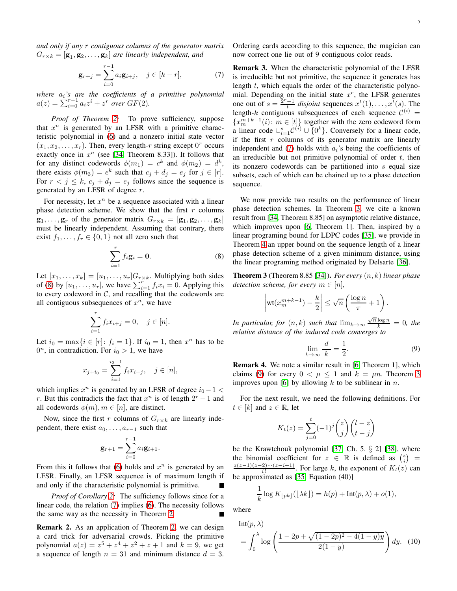*and only if any* r *contiguous columns of the generator matrix*  $G_{r \times k} = [\mathbf{g}_1, \mathbf{g}_2, \dots, \mathbf{g}_k]$  are linearly independent, and

<span id="page-4-1"></span>
$$
\mathbf{g}_{r+j} = \sum_{i=0}^{r-1} a_i \mathbf{g}_{i+j}, \quad j \in [k-r], \tag{7}
$$

*where* ai*'s are the coefficients of a primitive polynomial*  $a(z) = \sum_{i=0}^{r-1} a_i z^i + z^r$  over  $GF(2)$ .

*Proof of Theorem [2:](#page-3-7)* To prove sufficiency, suppose that  $x^n$  is generated by an LFSR with a primitive characteristic polynomial in [\(6\)](#page-3-8) and a nonzero initial state vector  $(x_1, x_2, \ldots, x_r)$ . Then, every length-r string except  $0^r$  occurs exactly once in  $x^n$  (see [\[34,](#page-15-6) Theorem 8.33]). It follows that for any distinct codewords  $\phi(m_1) = c^k$  and  $\phi(m_2) = d^k$ , there exists  $\phi(m_3) = e^k$  such that  $c_j + d_j = e_j$  for  $j \in [r]$ . For  $r < j \leq k$ ,  $c_j + d_j = e_j$  follows since the sequence is generated by an LFSR of degree r.

For necessity, let  $x^n$  be a sequence associated with a linear phase detection scheme. We show that the first  $r$  columns  $\mathbf{g}_1, \ldots, \mathbf{g}_r$  of the generator matrix  $G_{r \times k} = [\mathbf{g}_1, \mathbf{g}_2, \ldots, \mathbf{g}_k]$ must be linearly independent. Assuming that contrary, there exist  $f_1, \ldots, f_r \in \{0, 1\}$  not all zero such that

<span id="page-4-0"></span>
$$
\sum_{i=1}^{r} f_i \mathbf{g}_i = \mathbf{0}.\tag{8}
$$

Let  $[x_1, \ldots, x_k] = [u_1, \ldots, u_r]G_{r \times k}$ . Multiplying both sides of [\(8\)](#page-4-0) by  $[u_1, \ldots, u_r]$ , we have  $\sum_{i=1}^r f_i x_i = 0$ . Applying this to every codeword in  $C$ , and recalling that the codewords are all contiguous subsequences of  $x^n$ , we have

$$
\sum_{i=1}^{r} f_i x_{i+j} = 0, \quad j \in [n].
$$

Let  $i_0 = \max\{i \in [r] : f_i = 1\}$ . If  $i_0 = 1$ , then  $x^n$  has to be  $0^n$ , in contradiction. For  $i_0 > 1$ , we have

$$
x_{j+i_0} = \sum_{i=1}^{i_0-1} f_i x_{i+j}, \quad j \in [n],
$$

which implies  $x^n$  is generated by an LFSR of degree  $i_0 - 1 <$ r. But this contradicts the fact that  $x^n$  is of length  $2^r - 1$  and all codewords  $\phi(m), m \in [n]$ , are distinct.

Now, since the first r columns of  $G_{r \times k}$  are linearly independent, there exist  $a_0, \ldots, a_{r-1}$  such that

$$
\mathbf{g}_{r+1} = \sum_{i=0}^{r-1} a_i \mathbf{g}_{i+1}.
$$

From this it follows that [\(6\)](#page-3-8) holds and  $x^n$  is generated by an LFSR. Finally, an LFSR sequence is of maximum length if and only if the characteristic polynomial is primitive.

*Proof of Corollary [2:](#page-3-9)* The sufficiency follows since for a linear code, the relation [\(7\)](#page-4-1) implies [\(6\)](#page-3-8). The necessity follows the same way as the necessity in Theorem [2.](#page-3-7)

Remark 2. As an application of Theorem [2,](#page-3-7) we can design a card trick for adversarial crowds. Picking the primitive polynomial  $a(z) = z^5 + z^4 + z^2 + z + 1$  and  $k = 9$ , we get a sequence of length  $n = 31$  and minimum distance  $d = 3$ . Ordering cards according to this sequence, the magician can now correct one lie out of 9 contiguous color reads.

Remark 3. When the characteristic polynomial of the LFSR is irreducible but not primitive, the sequence it generates has length t, which equals the order of the characteristic polynomial. Depending on the initial state  $x^r$ , the LFSR generates one out of  $s = \frac{2^r - 1}{t}$  disjoint sequences  $x^t(1), \ldots, x^t(s)$ . The length-k contiguous subsequences of each sequence  $\mathcal{C}^{(i)}$  =  ${x_m^{m+k-1}(i) : m \in [t]}$  together with the zero codeword form a linear code  $\cup_{i=1}^{s} C^{(i)} \cup \{0^k\}$ . Conversely for a linear code, if the first  $r$  columns of its generator matrix are linearly independent and [\(7\)](#page-4-1) holds with  $a_i$ 's being the coefficients of an irreducible but not primitive polynomial of order  $t$ , then its nonzero codewords can be partitioned into s equal size subsets, each of which can be chained up to a phase detection sequence.

We now provide two results on the performance of linear phase detection schemes. In Theorem [3,](#page-4-2) we cite a known result from [\[34,](#page-15-6) Theorem 8.85] on asymptotic relative distance, which improves upon [\[6,](#page-14-5) Theorem 1]. Then, inspired by a linear programing bound for LDPC codes [\[35\]](#page-15-7), we provide in Theorem [4](#page-5-2) an upper bound on the sequence length of a linear phase detection scheme of a given minimum distance, using the linear programing method originated by Delsarte [\[36\]](#page-15-8).

<span id="page-4-2"></span>Theorem 3 (Theorem 8.85 [\[34\]](#page-15-6)). *For every* (n, k) *linear phase detection scheme, for every*  $m \in [n]$ ,

$$
\left|\text{wt}(x_m^{m+k-1}) - \frac{k}{2}\right| \leq \sqrt{n}\left(\frac{\log n}{\pi} + 1\right).
$$

*In particular, for*  $(n, k)$  *such that*  $\lim_{k \to \infty} \frac{\sqrt{n} \log n}{k} = 0$ *, the relative distance of the induced code converges to*

<span id="page-4-3"></span>
$$
\lim_{k \to \infty} \frac{d}{k} = \frac{1}{2}.
$$
\n(9)

Remark 4. We note a similar result in [\[6,](#page-14-5) Theorem 1], which claims [\(9\)](#page-4-3) for every  $0 < \mu \leq 1$  and  $k = \mu n$ . Theorem [3](#page-4-2) improves upon [\[6\]](#page-14-5) by allowing  $k$  to be sublinear in  $n$ .

For the next result, we need the following definitions. For  $t \in [k]$  and  $z \in \mathbb{R}$ , let

$$
K_t(z) = \sum_{j=0}^t (-1)^j \binom{z}{j} \binom{l-z}{t-j}
$$

be the Krawtchouk polynomial  $[37, Ch. 5. § 2] [38]$  $[37, Ch. 5. § 2] [38]$ , where the binomial coefficient for  $z \in \mathbb{R}$  is defined as  $\binom{z}{i}$  $\frac{z(z-1)(z-2)\cdots(z-i+1)}{i!}$ . For large k, the exponent of  $K_t(z)$  can be approximated as [\[35,](#page-15-7) Equation (40)]

<span id="page-4-4"></span>
$$
\frac{1}{k}\log K_{\lfloor pk \rfloor}(\lfloor \lambda k \rfloor) = h(p) + \text{Int}(p, \lambda) + o(1),
$$

where

Int(p, 
$$
\lambda
$$
)  
=  $\int_0^{\lambda} \log \left( \frac{1 - 2p + \sqrt{(1 - 2p)^2 - 4(1 - y)y}}{2(1 - y)} \right) dy$ . (10)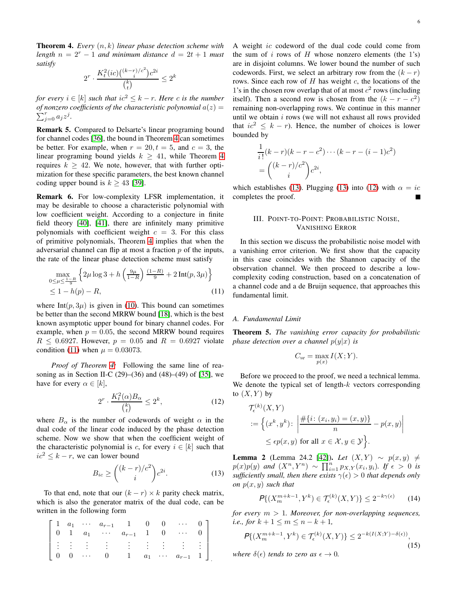<span id="page-5-2"></span>Theorem 4. *Every* (n, k) *linear phase detection scheme with length*  $n = 2^r - 1$  *and minimum distance*  $d = 2t + 1$  *must satisfy*

$$
2^r \cdot \frac{K_t^2 (ic) \binom{(k-r)/c^2}{i} c^{2i}}{\binom{k}{t}} \leq 2^k
$$

*for every*  $i \in [k]$  *such that*  $ic^2 \leq k - r$ *. Here c is the number* of nonzero coefficients of the characteristic polynomial  $a(z) = z$  $\sum_{j=0}^{r} a_j z^j$ .

Remark 5. Compared to Delsarte's linear programing bound for channel codes [\[36\]](#page-15-8), the bound in Theorem [4](#page-5-2) can sometimes be better. For example, when  $r = 20, t = 5$ , and  $c = 3$ , the linear programing bound yields  $k \geq 41$  $k \geq 41$  $k \geq 41$ , while Theorem 4 requires  $k \geq 42$ . We note, however, that with further optimization for these specific parameters, the best known channel coding upper bound is  $k \geq 43$  [\[39\]](#page-15-11).

Remark 6. For low-complexity LFSR implementation, it may be desirable to choose a characteristic polynomial with low coefficient weight. According to a conjecture in finite field theory [\[40\]](#page-15-12), [\[41\]](#page-15-13), there are infinitely many primitive polynomials with coefficient weight  $c = 3$ . For this class of primitive polynomials, Theorem [4](#page-5-2) implies that when the adversarial channel can flip at most a fraction  $p$  of the inputs, the rate of the linear phase detection scheme must satisfy

$$
\max_{0 \le \mu \le \frac{1-R}{9}} \left\{ 2\mu \log 3 + h\left(\frac{9\mu}{1-R}\right) \frac{(1-R)}{9} + 2\operatorname{Int}(p, 3\mu) \right\} \le 1 - h(p) - R,
$$
\n(11)

where Int( $p$ ,  $3\mu$ ) is given in [\(10\)](#page-4-4). This bound can sometimes be better than the second MRRW bound [\[18\]](#page-14-12), which is the best known asymptotic upper bound for binary channel codes. For example, when  $p = 0.05$ , the second MRRW bound requires  $R \le 0.6927$ . However,  $p = 0.05$  and  $R = 0.6927$  violate condition [\(11\)](#page-5-3) when  $\mu = 0.03073$ .

*Proof of Theorem [4:](#page-5-2)* Following the same line of reasoning as in Section II-C  $(29)$ – $(36)$  and  $(48)$ – $(49)$  of  $[35]$ , we have for every  $\alpha \in [k]$ ,

<span id="page-5-5"></span>
$$
2^r \cdot \frac{K_t^2(\alpha)B_\alpha}{\binom{k}{t}} \le 2^k,\tag{12}
$$

where  $B_{\alpha}$  is the number of codewords of weight  $\alpha$  in the dual code of the linear code induced by the phase detection scheme. Now we show that when the coefficient weight of the characteristic polynomial is c, for every  $i \in [k]$  such that  $ic^2 \leq k - r$ , we can lower bound

<span id="page-5-4"></span>
$$
B_{ic} \ge \binom{(k-r)/c^2}{i} c^{2i}.\tag{13}
$$

To that end, note that our  $(k - r) \times k$  parity check matrix, which is also the generator matrix of the dual code, can be written in the following form

$$
\begin{bmatrix} 1 & a_1 & \cdots & a_{r-1} & 1 & 0 & 0 & \cdots & 0 \\ 0 & 1 & a_1 & \cdots & a_{r-1} & 1 & 0 & \cdots & 0 \\ \vdots & \vdots & \vdots & \vdots & \vdots & \vdots & \vdots & \vdots & \vdots \\ 0 & 0 & \cdots & 0 & 1 & a_1 & \cdots & a_{r-1} & 1 \end{bmatrix}
$$

A weight ic codeword of the dual code could come from the sum of i rows of H whose nonzero elements (the 1's) are in disjoint columns. We lower bound the number of such codewords. First, we select an arbitrary row from the  $(k - r)$ rows. Since each row of  $H$  has weight  $c$ , the locations of the 1's in the chosen row overlap that of at most  $c<sup>2</sup>$  rows (including itself). Then a second row is chosen from the  $(k - r - c^2)$ remaining non-overlapping rows. We continue in this manner until we obtain  $i$  rows (we will not exhaust all rows provided that  $ic^2 \leq k - r$ ). Hence, the number of choices is lower bounded by

$$
\frac{1}{i!}(k-r)(k-r-c^2)\cdots(k-r-(i-1)c^2) \n= {\binom{(k-r)/c^2}{i}}c^{2i},
$$

<span id="page-5-0"></span>which establishes [\(13\)](#page-5-4). Plugging (13) into [\(12\)](#page-5-5) with  $\alpha = ic$ completes the proof.

# III. POINT-TO-POINT: PROBABILISTIC NOISE, VANISHING ERROR

In this section we discuss the probabilistic noise model with a vanishing error criterion. We first show that the capacity in this case coincides with the Shannon capacity of the observation channel. We then proceed to describe a lowcomplexity coding construction, based on a concatenation of a channel code and a de Bruijn sequence, that approaches this fundamental limit.

# <span id="page-5-3"></span><span id="page-5-1"></span>*A. Fundamental Limit*

<span id="page-5-6"></span>Theorem 5. *The vanishing error capacity for probabilistic phase detection over a channel*  $p(y|x)$  *is* 

$$
C_{ve} = \max_{p(x)} I(X;Y).
$$

Before we proceed to the proof, we need a technical lemma. We denote the typical set of length- $k$  vectors corresponding to  $(X, Y)$  by

$$
\mathcal{T}_{\epsilon}^{(k)}(X, Y)
$$
  
 := 
$$
\left\{ (x^k, y^k) : \left| \frac{\#\{i : (x_i, y_i) = (x, y)\}}{n} - p(x, y) \right| \right\}
$$
  

$$
\leq \epsilon p(x, y) \text{ for all } x \in \mathcal{X}, y \in \mathcal{Y} \right\}.
$$

<span id="page-5-9"></span>**Lemma 2** (Lemma 24.2 [\[42\]](#page-15-14)). *Let*  $(X, Y) \sim p(x, y) ≠$  $p(x)p(y)$  and  $(X^n, Y^n) \sim \prod_{i=1}^n p_{X,Y}(x_i, y_i)$ . If  $\epsilon > 0$  is *sufficiently small, then there exists*  $\gamma(\epsilon) > 0$  *that depends only on* p(x, y) *such that*

<span id="page-5-7"></span>
$$
\mathcal{P}\{(X_m^{m+k-1}, Y^k) \in \mathcal{T}_{\epsilon}^{(k)}(X, Y)\} \le 2^{-k\gamma(\epsilon)} \tag{14}
$$

*for every* m > 1*. Moreover, for non-overlapping sequences, i.e., for*  $k + 1 \le m \le n - k + 1$ ,

<span id="page-5-8"></span>
$$
P\{(X_m^{m+k-1}, Y^k) \in \mathcal{T}_{\epsilon}^{(k)}(X, Y)\} \le 2^{-k(I(X;Y) - \delta(\epsilon))},\tag{15}
$$

*where*  $\delta(\epsilon)$  *tends to zero as*  $\epsilon \to 0$ *.*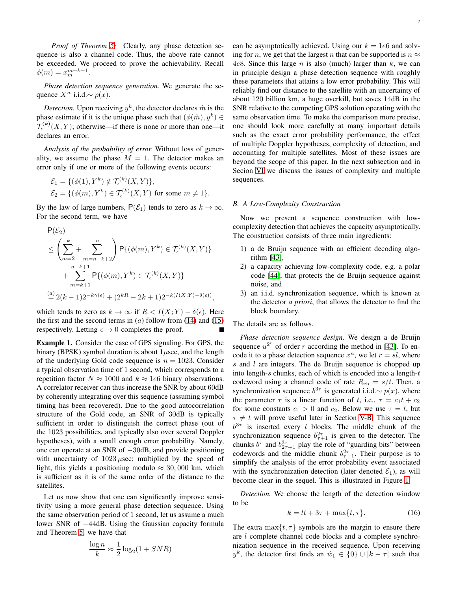*Proof of Theorem [5:](#page-5-6)* Clearly, any phase detection sequence is also a channel code. Thus, the above rate cannot be exceeded. We proceed to prove the achievability. Recall  $\phi(m) = x_m^{m+k-1}.$ 

*Phase detection sequence generation.* We generate the sequence  $X^n$  i.i.d.∼  $p(x)$ .

*Detection*. Upon receiving  $y^k$ , the detector declares  $\hat{m}$  is the phase estimate if it is the unique phase such that  $(\phi(\hat{m}), y^k) \in$  $\mathcal{T}_{\epsilon}^{(k)}(X,Y)$ ; otherwise—if there is none or more than one—it declares an error.

*Analysis of the probability of error.* Without loss of generality, we assume the phase  $M = 1$ . The detector makes an error only if one or more of the following events occurs:

$$
\mathcal{E}_1 = \{ (\phi(1), Y^k) \notin \mathcal{T}_{\epsilon}^{(k)}(X, Y) \},
$$
  

$$
\mathcal{E}_2 = \{ (\phi(m), Y^k) \in \mathcal{T}_{\epsilon}^{(k)}(X, Y) \text{ for some } m \neq 1 \}.
$$

By the law of large numbers,  $P(\mathcal{E}_1)$  tends to zero as  $k \to \infty$ . For the second term, we have

$$
\label{eq:posterior} \begin{split} &\mathsf{P}(\mathcal{E}_2)\\ &\leq \left(\sum_{m=2}^k + \sum_{m=n-k+2}^n \right) \mathsf{P}\{(\phi(m),Y^k)\in \mathcal{T}_{\epsilon}^{(k)}(X,Y)\}\\ &\quad + \sum_{m=k+1}^{n-k+1} \mathsf{P}\{(\phi(m),Y^k)\in \mathcal{T}_{\epsilon}^{(k)}(X,Y)\}\\ &\overset{(a)}{=} 2(k-1)2^{-k\gamma(\epsilon)} + (2^{kR}-2k+1)2^{-k(I(X;Y)-\delta(\epsilon))}, \end{split}
$$

which tends to zero as  $k \to \infty$  if  $R < I(X;Y) - \delta(\epsilon)$ . Here the first and the second terms in  $(a)$  follow from  $(14)$  and  $(15)$ respectively. Letting  $\epsilon \to 0$  completes the proof.

<span id="page-6-0"></span>Example 1. Consider the case of GPS signaling. For GPS, the binary (BPSK) symbol duration is about  $1\mu$ sec, and the length of the underlying Gold code sequence is  $n = 1023$ . Consider a typical observation time of 1 second, which corresponds to a repetition factor  $N \approx 1000$  and  $k \approx 1e6$  binary observations. A correlator receiver can thus increase the SNR by about 60dB by coherently integrating over this sequence (assuming symbol timing has been recovered). Due to the good autocorrelation structure of the Gold code, an SNR of 30dB is typically sufficient in order to distinguish the correct phase (out of the 1023 possibilities, and typically also over several Doppler hypotheses), with a small enough error probability. Namely, one can operate at an SNR of −30dB, and provide positioning with uncertainty of  $1023 \mu$ sec; multiplied by the speed of light, this yields a positioning modulo  $\approx 30,000$  km, which is sufficient as it is of the same order of the distance to the satellites.

Let us now show that one can significantly improve sensitivity using a more general phase detection sequence. Using the same observation period of 1 second, let us assume a much lower SNR of −44dB. Using the Gaussian capacity formula and Theorem [5,](#page-5-6) we have that

$$
\frac{\log n}{k} \approx \frac{1}{2} \log_2(1 + SNR)
$$

can be asymptotically achieved. Using our  $k = 1e6$  and solving for n, we get that the largest n that can be supported is  $n \approx$ 4e8. Since this large *n* is also (much) larger than  $k$ , we can in principle design a phase detection sequence with roughly these parameters that attains a low error probability. This will reliably find our distance to the satellite with an uncertainty of about 120 billion km, a huge overkill, but saves 14dB in the SNR relative to the competing GPS solution operating with the same observation time. To make the comparison more precise, one should look more carefully at many important details such as the exact error probability performance, the effect of multiple Doppler hypotheses, complexity of detection, and accounting for multiple satellites. Most of these issues are beyond the scope of this paper. In the next subsection and in Secion [VI](#page-12-0) we discuss the issues of complexity and multiple sequences.

#### <span id="page-6-1"></span>*B. A Low-Complexity Construction*

Now we present a sequence construction with lowcomplexity detection that achieves the capacity asymptotically. The construction consists of three main ingredients:

- 1) a de Bruijn sequence with an efficient decoding algorithm [\[43\]](#page-15-15),
- 2) a capacity achieving low-complexity code, e.g. a polar code [\[44\]](#page-15-16), that protects the de Bruijn sequence against noise, and
- 3) an i.i.d. synchronization sequence, which is known at the detector *a priori*, that allows the detector to find the block boundary.

The details are as follows.

*Phase detection sequence design.* We design a de Bruijn sequence  $u^{2^r}$  of order r according the method in [\[43\]](#page-15-15). To encode it to a phase detection sequence  $x^n$ , we let  $r = sl$ , where s and l are integers. The de Bruijn sequence is chopped up into length- $s$  chunks, each of which is encoded into a length- $t$ codeword using a channel code of rate  $R_{ch} = s/t$ . Then, a synchronization sequence  $b^{3\tau}$  is generated i.i.d. $\sim p(x)$ , where the parameter  $\tau$  is a linear function of t, i.e.,  $\tau = c_1 t + c_2$ for some constants  $c_1 > 0$  and  $c_2$ . Below we use  $\tau = t$ , but  $\tau \neq t$  will prove useful later in Section [V-B.](#page-11-0) This sequence  $b^{3\tau}$  is inserted every *l* blocks. The middle chunk of the synchronization sequence  $b_{\tau+1}^{2\tau}$  is given to the detector. The chunks  $b^{\tau}$  and  $b_{2\tau+1}^{3\tau}$  play the role of "guarding bits" between codewords and the middle chunk  $b_{\tau+1}^{2\tau}$ . Their purpose is to simplify the analysis of the error probability event associated with the synchronization detection (later denoted  $\mathcal{E}_1$ ), as will become clear in the sequel. This is illustrated in Figure [1.](#page-7-0)

*Detection.* We choose the length of the detection window to be

<span id="page-6-2"></span>
$$
k = lt + 3\tau + \max\{t, \tau\}.
$$
 (16)

The extra  $\max\{t, \tau\}$  symbols are the margin to ensure there are *l* complete channel code blocks and a complete synchronization sequence in the received sequence. Upon receiving  $y^k$ , the detector first finds an  $\hat{w}_1 \in \{0\} \cup [k - \tau]$  such that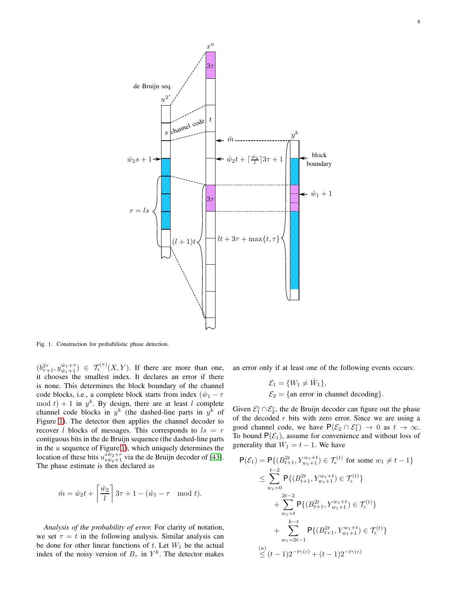

<span id="page-7-0"></span>Fig. 1. Construction for probabilistic phase detection.

 $(b_{\tau+1}^{2\tau}, y_{\hat{w}_1+1}^{\hat{w}_1+\tau}) \in \mathcal{T}_{\epsilon}^{(\tau)}(X, Y)$ . If there are more than one, it chooses the smallest index. It declares an error if there is none. This determines the block boundary of the channel code blocks, i.e., a complete block starts from index  $(\hat{w}_1 - \tau)$  $\mod t + 1$  in  $y^k$ . By design, there are at least l complete channel code blocks in  $y^k$  (the dashed-line parts in  $y^k$  of Figure [1\)](#page-7-0). The detector then applies the channel decoder to recover *l* blocks of messages. This corresponds to  $ls = r$ contiguous bits in the de Bruijn sequence (the dashed-line parts in the  $u$  sequence of Figure [1\)](#page-7-0), which uniquely determines the location of these bits  $u_{s\hat{w}_2+1}^{s\hat{w}_2+r}$  via the de Bruijn decoder of [\[43\]](#page-15-15). The phase estimate is then declared as

$$
\hat{m} = \hat{w}_2 t + \left\lceil \frac{\hat{w}_2}{l} \right\rceil 3\tau + 1 - (\hat{w}_1 - \tau \mod t).
$$

*Analysis of the probability of error.* For clarity of notation, we set  $\tau = t$  in the following analysis. Similar analysis can be done for other linear functions of  $t$ . Let  $W_1$  be the actual index of the noisy version of  $B_{\tau}$  in  $Y^{k}$ . The detector makes an error only if at least one of the following events occurs:

$$
\mathcal{E}_1 = \{W_1 \neq \hat{W}_1\},
$$
  

$$
\mathcal{E}_2 = \{\text{an error in channel decoding}\}.
$$

Given  $\mathcal{E}_1^c \cap \mathcal{E}_2^c$ , the de Bruijn decoder can figure out the phase of the decoded  $r$  bits with zero error. Since we are using a good channel code, we have  $P(\mathcal{E}_2 \cap \mathcal{E}_1^c) \to 0$  as  $t \to \infty$ . To bound  $P(\mathcal{E}_1)$ , assume for convenience and without loss of generality that  $W_1 = t - 1$ . We have

$$
\mathsf{P}(\mathcal{E}_1) = \mathsf{P}\{(B_{t+1}^{2t}, Y_{w_1+1}^{w_1+t}) \in \mathcal{T}_{\epsilon}^{(t)} \text{ for some } w_1 \neq t-1\}
$$
\n
$$
\leq \sum_{w_1=0}^{t-2} \mathsf{P}\{(B_{t+1}^{2t}, Y_{w_1+1}^{w_1+t}) \in \mathcal{T}_{\epsilon}^{(t)}\}
$$
\n
$$
+ \sum_{w_1=t}^{2t-2} \mathsf{P}\{(B_{t+1}^{2t}, Y_{w_1+1}^{w_1+t}) \in \mathcal{T}_{\epsilon}^{(t)}\}
$$
\n
$$
+ \sum_{w_1=2t-1}^{k-t} \mathsf{P}\{(B_{t+1}^{2t}, Y_{w_1+1}^{w_1+t}) \in \mathcal{T}_{\epsilon}^{(t)}\}
$$
\n(a)\n
$$
\leq (t-1)2^{-t\gamma(\epsilon)} + (t-1)2^{-t\gamma(\epsilon)}
$$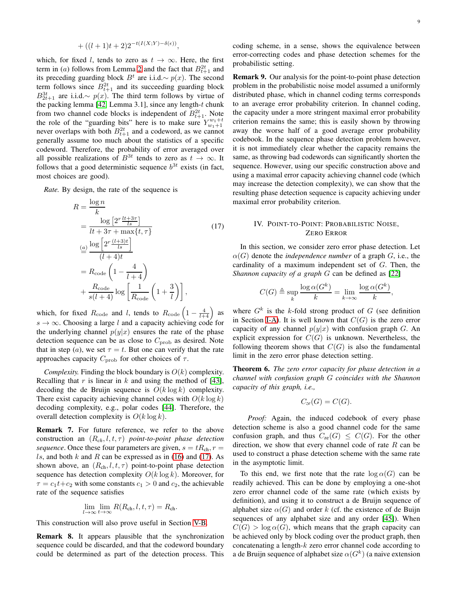$$
+ ((l+1)t+2)2^{-t(I(X;Y)-\delta(\epsilon))},
$$

which, for fixed l, tends to zero as  $t \to \infty$ . Here, the first term in (*a*) follows from Lemma [2](#page-5-9) and the fact that  $B_{t+1}^{2t}$  and its preceding guarding block  $B^t$  are i.i.d.∼  $p(x)$ . The second term follows since  $B_{t+1}^{2t}$  and its succeeding guarding block  $B_{2t+1}^{3t}$  are i.i.d.∼  $p(x)$ . The third term follows by virtue of the packing lemma [\[42,](#page-15-14) Lemma 3.1], since any length- $t$  chunk from two channel code blocks is independent of  $B_{t+1}^{2t}$ . Note the role of the "guarding bits" here is to make sure  $Y_{w_1+1}^{w_1+t}$ never overlaps with both  $B_{t+1}^{2t}$  and a codeword, as we cannot generally assume too much about the statistics of a specific codeword. Therefore, the probability of error averaged over all possible realizations of  $B^{3t}$  tends to zero as  $t \to \infty$ . It follows that a good deterministic sequence  $b^{3t}$  exists (in fact, most choices are good).

*Rate.* By design, the rate of the sequence is

$$
R = \frac{\log n}{k}
$$
  
= 
$$
\frac{\log \left[2^r \frac{lt + 3\tau}{ls}\right]}{lt + 3\tau + \max\{t, \tau\}}
$$
  
= 
$$
\frac{\log \left[2^r \frac{(l+3)t}{ls}\right]}{(l+4)t}
$$
  
= 
$$
R_{\text{code}}\left(1 - \frac{4}{l+4}\right)
$$
  
+ 
$$
\frac{R_{\text{code}}}{s(l+4)} \log \left[\frac{1}{R_{\text{code}}}\left(1 + \frac{3}{l}\right)\right],
$$
 (17)

which, for fixed  $R_{\text{code}}$  and l, tends to  $R_{\text{code}}\left(1-\frac{4}{l+4}\right)$  as  $s \to \infty$ . Choosing a large l and a capacity achieving code for the underlying channel  $p(y|x)$  ensures the rate of the phase detection sequence can be as close to  $C_{\text{prob}}$  as desired. Note that in step (a), we set  $\tau = t$ . But one can verify that the rate approaches capacity  $C_{\rm prob}$  for other choices of  $\tau$ .

*Complexity.* Finding the block boundary is  $O(k)$  complexity. Recalling that  $r$  is linear in  $k$  and using the method of [\[43\]](#page-15-15), decoding the de Bruijn sequence is  $O(k \log k)$  complexity. There exist capacity achieving channel codes with  $O(k \log k)$ decoding complexity, e.g., polar codes [\[44\]](#page-15-16). Therefore, the overall detection complexity is  $O(k \log k)$ .

<span id="page-8-2"></span>Remark 7. For future reference, we refer to the above construction an (R*ch*, l, t, τ) *point-to-point phase detection sequence*. Once these four parameters are given,  $s = tR_{ch}$ ,  $r =$ ls, and both k and R can be expressed as in [\(16\)](#page-6-2) and [\(17\)](#page-8-1). As shown above, an  $(R_{ch}, l, t, \tau)$  point-to-point phase detection sequence has detection complexity  $O(k \log k)$ . Moreover, for  $\tau = c_1 t + c_2$  with some constants  $c_1 > 0$  and  $c_2$ , the achievable rate of the sequence satisfies

$$
\lim_{l\to\infty}\lim_{t\to\infty}R(R_{\rm ch},l,t,\tau)=R_{\rm ch}.
$$

This construction will also prove useful in Section [V-B.](#page-11-0)

Remark 8. It appears plausible that the synchronization sequence could be discarded, and that the codeword boundary could be determined as part of the detection process. This

coding scheme, in a sense, shows the equivalence between error-correcting codes and phase detection schemes for the probabilistic setting.

Remark 9. Our analysis for the point-to-point phase detection problem in the probabilistic noise model assumed a uniformly distributed phase, which in channel coding terms corresponds to an average error probability criterion. In channel coding, the capacity under a more stringent maximal error probability criterion remains the same; this is easily shown by throwing away the worse half of a good average error probability codebook. In the sequence phase detection problem however, it is not immediately clear whether the capacity remains the same, as throwing bad codewords can significantly shorten the sequence. However, using our specific construction above and using a maximal error capacity achieving channel code (which may increase the detection complexity), we can show that the resulting phase detection sequence is capacity achieving under maximal error probability criterion.

# <span id="page-8-0"></span>IV. POINT-TO-POINT: PROBABILISTIC NOISE, ZERO ERROR

<span id="page-8-1"></span>In this section, we consider zero error phase detection. Let  $\alpha(G)$  denote the *independence number* of a graph G, i.e., the cardinality of a maximum independent set of  $G$ . Then, the *Shannon capacity of a graph* G can be defined as [\[22\]](#page-14-16)

$$
C(G) \triangleq \sup_{k} \frac{\log \alpha(G^{k})}{k} = \lim_{k \to \infty} \frac{\log \alpha(G^{k})}{k},
$$

where  $G^k$  is the k-fold strong product of G (see definition in Section [I-A\)](#page-1-2). It is well known that  $C(G)$  is the zero error capacity of any channel  $p(y|x)$  with confusion graph G. An explicit expression for  $C(G)$  is unknown. Nevertheless, the following theorem shows that  $C(G)$  is also the fundamental limit in the zero error phase detection setting.

Theorem 6. *The zero error capacity for phase detection in a channel with confusion graph* G *coincides with the Shannon capacity of this graph, i.e.,*

$$
C_{ze}(G) = C(G).
$$

*Proof:* Again, the induced codebook of every phase detection scheme is also a good channel code for the same confusion graph, and thus  $C_{\text{ze}}(G) \leq C(G)$ . For the other direction, we show that every channel code of rate  $R$  can be used to construct a phase detection scheme with the same rate in the asymptotic limit.

To this end, we first note that the rate  $log \alpha(G)$  can be readily achieved. This can be done by employing a one-shot zero error channel code of the same rate (which exists by definition), and using it to construct a de Bruijn sequence of alphabet size  $\alpha(G)$  and order k (cf. the existence of de Buijn sequences of any alphabet size and any order [\[45\]](#page-15-17)). When  $C(G) > \log \alpha(G)$ , which means that the graph capacity can be achieved only by block coding over the product graph, then concatenating a length- $k$  zero error channel code according to a de Bruijn sequence of alphabet size  $\alpha(G^k)$  (a naive extension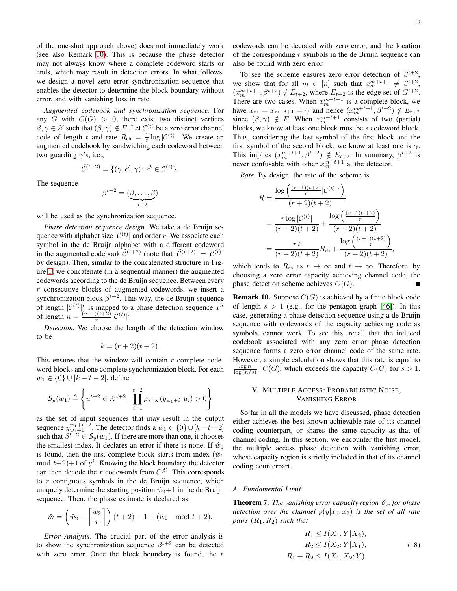10

of the one-shot approach above) does not immediately work (see also Remark [10\)](#page-9-2). This is because the phase detector may not always know where a complete codeword starts or ends, which may result in detection errors. In what follows, we design a novel zero error synchronization sequence that enables the detector to determine the block boundary without error, and with vanishing loss in rate.

*Augmented codebook and synchronization sequence.* For any G with  $C(G) > 0$ , there exist two distinct vertices  $\beta, \gamma \in \mathcal{X}$  such that  $(\beta, \gamma) \notin E$ . Let  $\mathcal{C}^{(t)}$  be a zero error channel code of length t and rate  $R_{ch} = \frac{1}{t} \log |\mathcal{C}^{(t)}|$ . We create an augmented codebook by sandwiching each codeword between two guarding  $\gamma$ 's, i.e.,

$$
\tilde{\mathcal{C}}^{(t+2)} = \{(\gamma, c^t, \gamma) \colon c^t \in \mathcal{C}^{(t)}\}.
$$

The sequence

$$
\beta^{t+2} = (\underbrace{\beta, \dots, \beta}_{t+2})
$$

will be used as the synchronization sequence.

*Phase detection sequence design.* We take a de Bruijn sequence with alphabet size  $|C^{(t)}|$  and order r. We associate each symbol in the de Bruijn alphabet with a different codeword in the augmented codebook  $\tilde{C}^{(t+2)}$  (note that  $|\tilde{C}^{(t+2)}| = |C^{(t)}|$ by design). Then, similar to the concatenated structure in Figure [1,](#page-7-0) we concatenate (in a sequential manner) the augmented codewords according to the de Bruijn sequence. Between every r consecutive blocks of augmented codewords, we insert a synchronization block  $\beta^{t+2}$ . This way, the de Bruijn sequence of length  $|\mathcal{C}^{(t)}|^r$  is mapped to a phase detection sequence  $x^n$ of length  $n = \frac{(r+1)(t+2)}{r}$  $\frac{D(t+2)}{r}$  $|\mathcal{C}^{(t)}|^r$ .

*Detection.* We choose the length of the detection window to be

$$
k = (r + 2)(t + 2).
$$

This ensures that the window will contain  $r$  complete codeword blocks and one complete synchronization block. For each  $w_1 \in \{0\} \cup [k - t - 2]$ , define

$$
S_y(w_1) \triangleq \left\{ u^{t+2} \in \mathcal{X}^{t+2} \colon \prod_{i=1}^{t+2} p_{Y|X}(y_{w_1+i}|u_i) > 0 \right\}
$$

as the set of input sequences that may result in the output sequence  $y_{w_1+1}^{w_1+t+2}$ . The detector finds a  $\hat{w}_1 \in \{0\} \cup [k-t-2]$ such that  $\beta^{t+2} \in S_y(w_1)$ . If there are more than one, it chooses the smallest index. It declares an error if there is none. If  $\hat{w}_1$ is found, then the first complete block starts from index  $(\hat{w}_1)$  $\mod t+2+1$  of  $y^k$ . Knowing the block boundary, the detector can then decode the r codewords from  $\mathcal{C}^{(t)}$ . This corresponds to  $r$  contiguous symbols in the de Bruijn sequence, which uniquely determine the starting position  $\hat{w}_2+1$  in the de Bruijn sequence. Then, the phase estimate is declared as

$$
\hat{m} = \left(\hat{w}_2 + \left\lceil \frac{\hat{w}_2}{r} \right\rceil\right)(t+2) + 1 - (\hat{w}_1 \mod t+2).
$$

*Error Analysis.* The crucial part of the error analysis is to show the synchronization sequence  $\beta^{t+2}$  can be detected with zero error. Once the block boundary is found, the  $r$  codewords can be decoded with zero error, and the location of the corresponding  $r$  symbols in the de Bruijn sequence can also be found with zero error.

To see the scheme ensures zero error detection of  $\beta^{t+2}$ , we show that for all  $m \in [n]$  such that  $x_m^{m+t+1} \neq \beta^{t+2}$ ,  $(x_m^{m+t+1}, \beta^{t+2}) \notin E_{t+2}$ , where  $E_{t+2}$  is the edge set of  $G^{t+2}$ . There are two cases. When  $x_m^{m+t+1}$  is a complete block, we have  $x_m = x_{m+t+1} = \gamma$  and hence  $(x_m^{m+t+1}, \beta^{t+2}) \notin E_{t+2}$ since  $(\beta, \gamma) \notin E$ . When  $x_m^{m+t+1}$  consists of two (partial) blocks, we know at least one block must be a codeword block. Thus, considering the last symbol of the first block and the first symbol of the second block, we know at least one is  $\gamma$ . This implies  $(x_m^{m+t+1}, \beta^{t+2}) \notin E_{t+2}$ . In summary,  $\beta^{t+2}$  is never confusable with other  $x_m^{m+t+1}$  at the detector.

*Rate.* By design, the rate of the scheme is

$$
R = \frac{\log\left(\frac{(r+1)(t+2)}{r}|\mathcal{C}^{(t)}|^r\right)}{(r+2)(t+2)}
$$
  
= 
$$
\frac{r\log|\mathcal{C}^{(t)}|}{(r+2)(t+2)} + \frac{\log\left(\frac{(r+1)(t+2)}{r}\right)}{(r+2)(t+2)}
$$
  
= 
$$
\frac{rt}{(r+2)(t+2)}R_{\text{ch}} + \frac{\log\left(\frac{(r+1)(t+2)}{r}\right)}{(r+2)(t+2)},
$$

which tends to  $R_{ch}$  as  $r \to \infty$  and  $t \to \infty$ . Therefore, by choosing a zero error capacity achieving channel code, the phase detection scheme achieves  $C(G)$ .

<span id="page-9-2"></span>**Remark 10.** Suppose  $C(G)$  is achieved by a finite block code of length  $s > 1$  (e.g., for the pentagon graph [\[46\]](#page-15-18)). In this case, generating a phase detection sequence using a de Bruijn sequence with codewords of the capacity achieving code as symbols, cannot work. To see this, recall that the induced codebook associated with any zero error phase detection sequence forms a zero error channel code of the same rate. However, a simple calculation shows that this rate is equal to  $\frac{\log n}{\log (n/s)} \cdot C(G)$ , which exceeds the capacity  $C(G)$  for  $s > 1$ .

# <span id="page-9-0"></span>V. MULTIPLE ACCESS: PROBABILISTIC NOISE, VANISHING ERROR

So far in all the models we have discussed, phase detection either achieves the best known achievable rate of its channel coding counterpart, or shares the same capacity as that of channel coding. In this section, we encounter the first model, the multiple access phase detection with vanishing error, whose capacity region is strictly included in that of its channel coding counterpart.

## <span id="page-9-1"></span>*A. Fundamental Limit*

<span id="page-9-4"></span><span id="page-9-3"></span>**Theorem 7.** The vanishing error capacity region  $\mathcal{C}_{ve}$  for phase *detection over the channel*  $p(y|x_1, x_2)$  *is the set of all rate pairs*  $(R_1, R_2)$  *such that* 

$$
R_1 \le I(X_1; Y | X_2),
$$
  
\n
$$
R_2 \le I(X_2; Y | X_1),
$$
  
\n
$$
R_1 + R_2 \le I(X_1, X_2; Y)
$$
\n(18)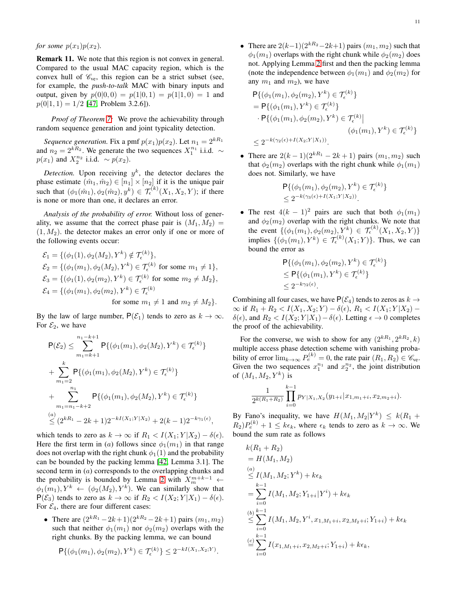*for some*  $p(x_1)p(x_2)$ *.* 

<span id="page-10-0"></span>Remark 11. We note that this region is not convex in general. Compared to the usual MAC capacity region, which is the convex hull of  $\mathcal{C}_{ve}$ , this region can be a strict subset (see, for example, the *push-to-talk* MAC with binary inputs and output, given by  $p(0|0,0) = p(1|0,1) = p(1|1,0) = 1$  and  $p(0|1, 1) = 1/2$  [\[47,](#page-15-19) Problem 3.2.6]).

*Proof of Theorem [7:](#page-9-3)* We prove the achievability through random sequence generation and joint typicality detection.

*Sequence generation.* Fix a pmf  $p(x_1)p(x_2)$ . Let  $n_1 = 2^{kR_1}$ and  $n_2 = 2^{kR_2}$ . We generate the two sequences  $X_1^{n_1}$  i.i.d.  $\sim$  $p(x_1)$  and  $X_2^{n_2}$  i.i.d. ~  $p(x_2)$ .

*Detection*. Upon receiving  $y^k$ , the detector declares the phase estimate  $(\hat{m}_1, \hat{m}_2) \in [n_1] \times [n_2]$  if it is the unique pair such that  $(\phi_1(\hat{m}_1), \phi_2(\hat{m}_2), y^k) \in \mathcal{T}_{\epsilon}^{(k)}(X_1, X_2, Y)$ ; if there is none or more than one, it declares an error.

*Analysis of the probability of error.* Without loss of generality, we assume that the correct phase pair is  $(M_1, M_2)$  =  $(1, M<sub>2</sub>)$ , the detector makes an error only if one or more of the following events occur:

$$
\mathcal{E}_1 = \{ (\phi_1(1), \phi_2(M_2), Y^k) \notin \mathcal{T}_{\epsilon}^{(k)} \},
$$
  
\n
$$
\mathcal{E}_2 = \{ (\phi_1(m_1), \phi_2(M_2), Y^k) \in \mathcal{T}_{\epsilon}^{(k)} \text{ for some } m_1 \neq 1 \},
$$
  
\n
$$
\mathcal{E}_3 = \{ (\phi_1(1), \phi_2(m_2), Y^k) \in \mathcal{T}_{\epsilon}^{(k)} \text{ for some } m_2 \neq M_2 \},
$$
  
\n
$$
\mathcal{E}_4 = \{ (\phi_1(m_1), \phi_2(m_2), Y^k) \in \mathcal{T}_{\epsilon}^{(k)} \text{ for some } m_1 \neq 1 \text{ and } m_2 \neq M_2 \}.
$$

By the law of large number,  $P(\mathcal{E}_1)$  tends to zero as  $k \to \infty$ . For  $\mathcal{E}_2$ , we have

$$
P(\mathcal{E}_2) \leq \sum_{m_1=k+1}^{n_1-k+1} P\{(\phi_1(m_1), \phi_2(M_2), Y^k) \in \mathcal{T}_{\epsilon}^{(k)}\}
$$
  
+ 
$$
\sum_{m_1=2}^k P\{(\phi_1(m_1), \phi_2(M_2), Y^k) \in \mathcal{T}_{\epsilon}^{(k)}\}
$$
  
+ 
$$
\sum_{m_1=n_1-k+2}^{n_1} P\{(\phi_1(m_1), \phi_2(M_2), Y^k) \in \mathcal{T}_{\epsilon}^{(k)}\}
$$
  

$$
\leq (2^{kR_1} - 2k + 1)2^{-kI(X_1;Y|X_2)} + 2(k - 1)2^{-k\gamma_1(\epsilon)},
$$

which tends to zero as  $k \to \infty$  if  $R_1 < I(X_1; Y | X_2) - \delta(\epsilon)$ . Here the first term in (a) follows since  $\phi_1(m_1)$  in that range does not overlap with the right chunk  $\phi_1(1)$  and the probability can be bounded by the packing lemma [\[42,](#page-15-14) Lemma 3.1]. The second term in  $(a)$  corresponds to the overlapping chunks and the probability is bounded by Lemma [2](#page-5-9) with  $X_m^{m+k-1}$  ←  $\phi_1(m_1), Y^k \leftarrow (\phi_2(M_2), Y^k)$ . We can similarly show that  $P(\mathcal{E}_3)$  tends to zero as  $k \to \infty$  if  $R_2 < I(X_2; Y | X_1) - \delta(\epsilon)$ . For  $\mathcal{E}_4$ , there are four different cases:

• There are  $(2^{kR_1}-2k+1)(2^{kR_2}-2k+1)$  pairs  $(m_1, m_2)$ such that neither  $\phi_1(m_1)$  nor  $\phi_2(m_2)$  overlaps with the right chunks. By the packing lemma, we can bound

$$
\mathsf{P}\{(\phi_1(m_1), \phi_2(m_2), Y^k) \in \mathcal{T}_{\epsilon}^{(k)}\} \leq 2^{-kI(X_1, X_2; Y)}.
$$

• There are  $2(k-1)(2^{kR_2}-2k+1)$  pairs  $(m_1, m_2)$  such that  $\phi_1(m_1)$  overlaps with the right chunk while  $\phi_2(m_2)$  does not. Applying Lemma [2](#page-5-9) first and then the packing lemma (note the independence between  $\phi_1(m_1)$  and  $\phi_2(m_2)$  for any  $m_1$  and  $m_2$ ), we have

$$
\mathsf{P}\{(\phi_1(m_1), \phi_2(m_2), Y^k) \in \mathcal{T}_{\epsilon}^{(k)}\}
$$
\n
$$
= \mathsf{P}\{(\phi_1(m_1), Y^k) \in \mathcal{T}_{\epsilon}^{(k)}\}
$$
\n
$$
\cdot \mathsf{P}\{(\phi_1(m_1), \phi_2(m_2), Y^k) \in \mathcal{T}_{\epsilon}^{(k)} | \qquad (\phi_1(m_1), Y^k) \in \mathcal{T}_{\epsilon}^{(k)}\}
$$
\n
$$
\leq 2^{-k(\gamma_2(\epsilon) + I(X_2; Y | X_1))}.
$$

• There are  $2(k-1)(2^{kR_1} - 2k + 1)$  pairs  $(m_1, m_2)$  such that  $\phi_2(m_2)$  overlaps with the right chunk while  $\phi_1(m_1)$ does not. Similarly, we have

$$
\mathsf{P}\{(\phi_1(m_1), \phi_2(m_2), Y^k) \in \mathcal{T}_{\epsilon}^{(k)}\}\
$$
  
\$\leq 2^{-k(\gamma\_3(\epsilon) + I(X\_1; Y|X\_2))}\$.

• The rest  $4(k - 1)^2$  pairs are such that both  $\phi_1(m_1)$ and  $\phi_2(m_2)$  overlap with the right chunks. We note that the event  $\{(\phi_1(m_1), \phi_2(m_2))_i^{\ Xk}\}\in \mathcal{T}_{\epsilon}^{(k)}(X_1, X_2, Y) \}$ implies  $\{(\phi_1(m_1), Y^k) \in \mathcal{T}_{\epsilon}^{(k)}(X_1;Y)\}\)$ . Thus, we can bound the error as

$$
\mathsf{P}\{(\phi_1(m_1), \phi_2(m_2), Y^k) \in \mathcal{T}_{\epsilon}^{(k)}\}\
$$
  
\$\leq \mathsf{P}\{(\phi\_1(m\_1), Y^k) \in \mathcal{T}\_{\epsilon}^{(k)}\}\$  
\$\leq 2^{-k\gamma\_2(\epsilon)}.

Combining all four cases, we have  $P(\mathcal{E}_4)$  tends to zeros as  $k \to$  $\infty$  if  $R_1 + R_2 < I(X_1, X_2; Y) - \delta(\epsilon)$ ,  $R_1 < I(X_1; Y | X_2)$  –  $\delta(\epsilon)$ , and  $R_2 < I(X_2; Y | X_1) - \delta(\epsilon)$ . Letting  $\epsilon \to 0$  completes the proof of the achievability.

For the converse, we wish to show for any  $(2^{kR_1}, 2^{kR_2}, k)$ multiple access phase detection scheme with vanishing probability of error  $\lim_{k\to\infty} P_e^{(k)} = 0$ , the rate pair  $(R_1, R_2) \in \mathcal{C}_{ve}$ . Given the two sequences  $x_1^{n_1}$  and  $x_2^{n_2}$ , the joint distribution of  $(M_1, M_2, Y^k)$  is

$$
\frac{1}{2^{k(R_1+R_2)}}\prod_{i=0}^{k-1}p_{Y|X_1,X_2}(y_{1+i}|x_{1,m_1+i},x_{2,m_2+i}).
$$

By Fano's inequality, we have  $H(M_1, M_2|Y^k) \leq k(R_1 +$  $(R_2)P_e^{(k)}+1 \leq k\epsilon_k$ , where  $\epsilon_k$  tends to zero as  $k \to \infty$ . We bound the sum rate as follows

$$
k(R_1 + R_2)
$$
  
=  $H(M_1, M_2)$   
\n
$$
\leq I(M_1, M_2; Y^k) + k\epsilon_k
$$
  
\n
$$
= \sum_{i=0}^{k-1} I(M_1, M_2; Y_{1+i} | Y^i) + k\epsilon_k
$$
  
\n
$$
\leq \sum_{i=0}^{k-1} I(M_1, M_2, Y^i, x_{1,M_1+i}, x_{2,M_2+i}; Y_{1+i}) + k\epsilon_k
$$
  
\n
$$
\stackrel{(c)}{=} \sum_{i=0}^{k-1} I(x_{1,M_1+i}, x_{2,M_2+i}; Y_{1+i}) + k\epsilon_k,
$$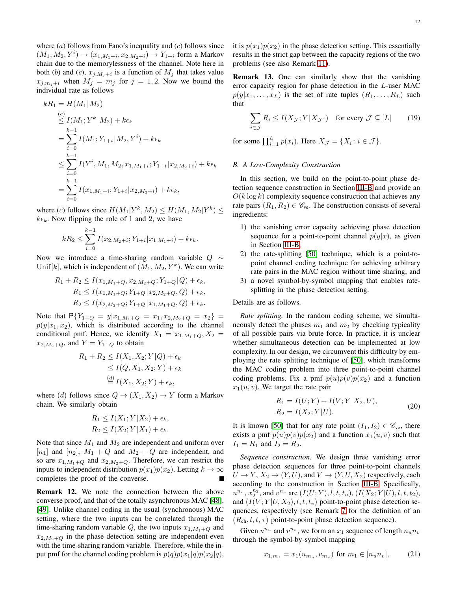where  $(a)$  follows from Fano's inequality and  $(c)$  follows since  $(M_1, M_2, Y^i) \to (x_{1,M_1+i}, x_{2,M_2+i}) \to Y_{1+i}$  form a Markov chain due to the memorylessness of the channel. Note here in both (b) and (c),  $x_{j,M_j+i}$  is a function of  $M_j$  that takes value  $x_{j,m_j+i}$  when  $M_j = m_j$  for  $j = 1, 2$ . Now we bound the individual rate as follows

$$
kR_1 = H(M_1|M_2)
$$
  
\n
$$
\leq I(M_1; Y^k|M_2) + k\epsilon_k
$$
  
\n
$$
= \sum_{i=0}^{k-1} I(M_1; Y_{1+i}|M_2, Y^i) + k\epsilon_k
$$
  
\n
$$
\leq \sum_{i=0}^{k-1} I(Y^i, M_1, M_2, x_{1,M_1+i}; Y_{1+i}|x_{2,M_2+i}) + k\epsilon_k
$$
  
\n
$$
= \sum_{i=0}^{k-1} I(x_{1,M_1+i}; Y_{1+i}|x_{2,M_2+i}) + k\epsilon_k,
$$

where (c) follows since  $H(M_1|Y^k, M_2) \le H(M_1, M_2|Y^k) \le$  $k\epsilon_k$ . Now flipping the role of 1 and 2, we have

$$
kR_2 \le \sum_{i=0}^{k-1} I(x_{2,M_2+i}; Y_{1+i} | x_{1,M_1+i}) + k\epsilon_k.
$$

Now we introduce a time-sharing random variable  $Q \sim$ Unif[k], which is independent of  $(M_1, M_2, Y^k)$ . We can write

$$
R_1 + R_2 \le I(x_{1,M_1+Q}, x_{2,M_2+Q}; Y_{1+Q}|Q) + \epsilon_k,
$$
  
\n
$$
R_1 \le I(x_{1,M_1+Q}; Y_{1+Q}|x_{2,M_2+Q}, Q) + \epsilon_k,
$$
  
\n
$$
R_2 \le I(x_{2,M_2+Q}; Y_{1+Q}|x_{1,M_1+Q}, Q) + \epsilon_k.
$$

Note that  $P{Y_{1+Q} = y|x_{1,M_1+Q} = x_1, x_{2,M_2+Q} = x_2}$  =  $p(y|x_1, x_2)$ , which is distributed according to the channel conditional pmf. Hence, we identify  $X_1 = x_{1,M_1+Q}, X_2 =$  $x_{2,M_2+Q}$ , and  $Y = Y_{1+Q}$  to obtain

$$
R_1 + R_2 \le I(X_1, X_2; Y|Q) + \epsilon_k
$$
  
\n
$$
\le I(Q, X_1, X_2; Y) + \epsilon_k
$$
  
\n
$$
\stackrel{(d)}{=} I(X_1, X_2; Y) + \epsilon_k,
$$

where (d) follows since  $Q \to (X_1, X_2) \to Y$  form a Markov chain. We similarly obtain

$$
R_1 \le I(X_1; Y | X_2) + \epsilon_k,
$$
  
\n
$$
R_2 \le I(X_2; Y | X_1) + \epsilon_k.
$$

Note that since  $M_1$  and  $M_2$  are independent and uniform over  $[n_1]$  and  $[n_2]$ ,  $M_1 + Q$  and  $M_2 + Q$  are independent, and so are  $x_{1,M_1+Q}$  and  $x_{2,M_2+Q}$ . Therefore, we can restrict the inputs to independent distribution  $p(x_1)p(x_2)$ . Letting  $k \to \infty$ completes the proof of the converse.

Remark 12. We note the connection between the above converse proof, and that of the totally asynchronous MAC [\[48\]](#page-15-20), [\[49\]](#page-15-21). Unlike channel coding in the usual (synchronous) MAC setting, where the two inputs can be correlated through the time-sharing random variable Q, the two inputs  $x_{1,M_1+Q}$  and  $x_{2,M_2+Q}$  in the phase detection setting are independent even with the time-sharing random variable. Therefore, while the input pmf for the channel coding problem is  $p(q)p(x_1|q)p(x_2|q)$ , it is  $p(x_1)p(x_2)$  in the phase detection setting. This essentially results in the strict gap between the capacity regions of the two problems (see also Remark [11\)](#page-10-0).

Remark 13. One can similarly show that the vanishing error capacity region for phase detection in the L-user MAC  $p(y|x_1, \ldots, x_L)$  is the set of rate tuples  $(R_1, \ldots, R_L)$  such that

<span id="page-11-3"></span>
$$
\sum_{i \in \mathcal{J}} R_i \le I(X_{\mathcal{J}}; Y | X_{\mathcal{J}^c}) \quad \text{for every } \mathcal{J} \subseteq [L] \tag{19}
$$

for some  $\prod_{i=1}^{L} p(x_i)$ . Here  $X_{\mathcal{J}} = \{X_i : i \in \mathcal{J}\}.$ 

#### <span id="page-11-0"></span>*B. A Low-Complexity Construction*

In this section, we build on the point-to-point phase detection sequence construction in Section [III-B](#page-6-1) and provide an  $O(k \log k)$  complexity sequence construction that achieves any rate pairs  $(R_1, R_2) \in \mathcal{C}_{ve}$ . The construction consists of several ingredients:

- 1) the vanishing error capacity achieving phase detection sequence for a point-to-point channel  $p(y|x)$ , as given in Section [III-B,](#page-6-1)
- 2) the rate-splitting [\[50\]](#page-15-22) technique, which is a point-topoint channel coding technique for achieving arbitrary rate pairs in the MAC region without time sharing, and
- 3) a novel symbol-by-symbol mapping that enables ratesplitting in the phase detection setting.

Details are as follows.

*Rate splitting.* In the random coding scheme, we simultaneously detect the phases  $m_1$  and  $m_2$  by checking typicality of all possible pairs via brute force. In practice, it is unclear whether simultaneous detection can be implemented at low complexity. In our design, we circumvent this difficulty by employing the rate splitting technique of [\[50\]](#page-15-22), which transforms the MAC coding problem into three point-to-point channel coding problems. Fix a pmf  $p(u)p(v)p(x_2)$  and a function  $x_1(u, v)$ . We target the rate pair

<span id="page-11-1"></span>
$$
R_1 = I(U;Y) + I(V;Y|X_2, U),
$$
  
\n
$$
R_2 = I(X_2;Y|U).
$$
\n(20)

It is known [\[50\]](#page-15-22) that for any rate point  $(I_1, I_2) \in \mathcal{C}_{ve}$ , there exists a pmf  $p(u)p(v)p(x_2)$  and a function  $x_1(u, v)$  such that  $I_1 = R_1$  and  $I_2 = R_2$ .

*Sequence construction.* We design three vanishing error phase detection sequences for three point-to-point channels  $U \to Y$ ,  $X_2 \to (Y, U)$ , and  $V \to (Y, U, X_2)$  respectively, each according to the construction in Section [III-B.](#page-6-1) Specifically,  $u^{n_u}, x_2^{n_2}$ , and  $v^{n_v}$  are  $(I(U;Y), l, t, t_u)$ ,  $(I(X_2; Y | U), l, t, t_2)$ , and  $(I(V; Y | U, X_2), l, t, t_v)$  point-to-point phase detection sequences, respectively (see Remark [7](#page-8-2) for the definition of an  $(R_{ch}, l, t, \tau)$  point-to-point phase detection sequence).

Given  $u^{n_u}$  and  $v^{n_v}$ , we form an  $x_1$  sequence of length  $n_u n_v$ through the symbol-by-symbol mapping

<span id="page-11-2"></span>
$$
x_{1,m_1} = x_1(u_{m_u}, v_{m_v}) \text{ for } m_1 \in [n_u n_v], \quad (21)
$$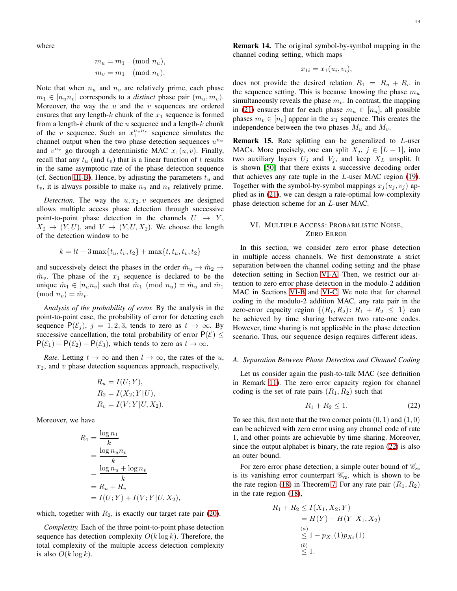where

$$
m_u = m_1 \pmod{n_u},
$$
  

$$
m_v = m_1 \pmod{n_v}.
$$

Note that when  $n_u$  and  $n_v$  are relatively prime, each phase  $m_1 \in [n_u n_v]$  corresponds to a *distinct* phase pair  $(m_u, m_v)$ . Moreover, the way the  $u$  and the  $v$  sequences are ordered ensures that any length-k chunk of the  $x_1$  sequence is formed from a length- $k$  chunk of the  $u$  sequence and a length- $k$  chunk of the v sequence. Such an  $x_1^{n_u n_v}$  sequence simulates the channel output when the two phase detection sequences  $u^{n_u}$ and  $v^{n_v}$  go through a deterministic MAC  $x_1(u, v)$ . Finally, recall that any  $t_u$  (and  $t_v$ ) that is a linear function of t results in the same asymptotic rate of the phase detection sequence (cf. Section [III-B\)](#page-6-1). Hence, by adjusting the parameters  $t_u$  and  $t_v$ , it is always possible to make  $n_u$  and  $n_v$  relatively prime.

*Detection.* The way the  $u, x_2, v$  sequences are designed allows multiple access phase detection through successive point-to-point phase detection in the channels  $U \rightarrow Y$ ,  $X_2 \rightarrow (Y, U)$ , and  $V \rightarrow (Y, U, X_2)$ . We choose the length of the detection window to be

$$
k = lt + 3\max\{t_u, t_v, t_2\} + \max\{t, t_u, t_v, t_2\}
$$

and successively detect the phases in the order  $\hat{m}_u \rightarrow \hat{m}_2 \rightarrow$  $\hat{m}_v$ . The phase of the  $x_1$  sequence is declared to be the unique  $\hat{m}_1 \in [n_u n_v]$  such that  $\hat{m}_1 \pmod{n_u} = \hat{m}_u$  and  $\hat{m}_1$  $\pmod{n_v} = \hat{m}_v.$ 

*Analysis of the probability of error.* By the analysis in the point-to-point case, the probability of error for detecting each sequence  $P(\mathcal{E}_i)$ ,  $j = 1, 2, 3$ , tends to zero as  $t \to \infty$ . By successive cancellation, the total probability of error  $P(\mathcal{E}) \leq$  $P(\mathcal{E}_1) + P(\mathcal{E}_2) + P(\mathcal{E}_3)$ , which tends to zero as  $t \to \infty$ .

*Rate.* Letting  $t \to \infty$  and then  $l \to \infty$ , the rates of the u,  $x_2$ , and v phase detection sequences approach, respectively,

$$
R_u = I(U;Y),
$$
  
\n
$$
R_2 = I(X_2;Y|U),
$$
  
\n
$$
R_v = I(V;Y|U,X_2).
$$

Moreover, we have

$$
R_1 = \frac{\log n_1}{k}
$$
  
= 
$$
\frac{\log n_u n_v}{k}
$$
  
= 
$$
\frac{\log n_u + \log n_v}{k}
$$
  
= 
$$
R_u + R_v
$$
  
= 
$$
I(U;Y) + I(V;Y|U, X_2),
$$

which, together with  $R_2$ , is exactly our target rate pair [\(20\)](#page-11-1).

*Complexity.* Each of the three point-to-point phase detection sequence has detection complexity  $O(k \log k)$ . Therefore, the total complexity of the multiple access detection complexity is also  $O(k \log k)$ .

Remark 14. The original symbol-by-symbol mapping in the channel coding setting, which maps

$$
x_{1i} = x_1(u_i, v_i),
$$

does not provide the desired relation  $R_1 = R_u + R_v$  in the sequence setting. This is because knowing the phase  $m_u$ simultaneously reveals the phase  $m<sub>v</sub>$ . In contrast, the mapping in [\(21\)](#page-11-2) ensures that for each phase  $m_u \in [n_u]$ , all possible phases  $m_v \in [n_v]$  appear in the  $x_1$  sequence. This creates the independence between the two phases  $M_u$  and  $M_v$ .

**Remark 15.** Rate splitting can be generalized to L-user MACs. More precisely, one can split  $X_j$ ,  $j \in [L-1]$ , into two auxiliary layers  $U_j$  and  $V_j$ , and keep  $X_L$  unsplit. It is shown [\[50\]](#page-15-22) that there exists a successive decoding order that achieves any rate tuple in the L-user MAC region [\(19\)](#page-11-3). Together with the symbol-by-symbol mappings  $x_i (u_i, v_j)$  applied as in [\(21\)](#page-11-2), we can design a rate-optimal low-complexity phase detection scheme for an L-user MAC.

# <span id="page-12-0"></span>VI. MULTIPLE ACCESS: PROBABILISTIC NOISE, ZERO ERROR

In this section, we consider zero error phase detection in multiple access channels. We first demonstrate a strict separation between the channel coding setting and the phase detection setting in Section [VI-A.](#page-12-1) Then, we restrict our attention to zero error phase detection in the modulo-2 addition MAC in Sections [VI-B](#page-13-0) and [VI-C.](#page-13-1) We note that for channel coding in the modulo-2 addition MAC, any rate pair in the zero-error capacity region  $\{(R_1, R_2): R_1 + R_2 \leq 1\}$  can be achieved by time sharing between two rate-one codes. However, time sharing is not applicable in the phase detection scenario. Thus, our sequence design requires different ideas.

## <span id="page-12-1"></span>*A. Separation Between Phase Detection and Channel Coding*

Let us consider again the push-to-talk MAC (see definition in Remark [11\)](#page-10-0). The zero error capacity region for channel coding is the set of rate pairs  $(R_1, R_2)$  such that

<span id="page-12-2"></span>
$$
R_1 + R_2 \le 1. \tag{22}
$$

To see this, first note that the two corner points  $(0, 1)$  and  $(1, 0)$ can be achieved with zero error using any channel code of rate 1, and other points are achievable by time sharing. Moreover, since the output alphabet is binary, the rate region [\(22\)](#page-12-2) is also an outer bound.

For zero error phase detection, a simple outer bound of  $\mathcal{C}_{\text{ze}}$ is its vanishing error counterpart  $\mathcal{C}_{ve}$ , which is shown to be the rate region [\(18\)](#page-9-4) in Theorem [7.](#page-9-3) For any rate pair  $(R_1, R_2)$ in the rate region [\(18\)](#page-9-4),

$$
R_1 + R_2 \le I(X_1, X_2; Y)
$$
  
=  $H(Y) - H(Y|X_1, X_2)$   
 $\stackrel{(a)}{\leq} 1 - p_{X_1}(1)p_{X_2}(1)$   
 $\stackrel{(b)}{\leq} 1.$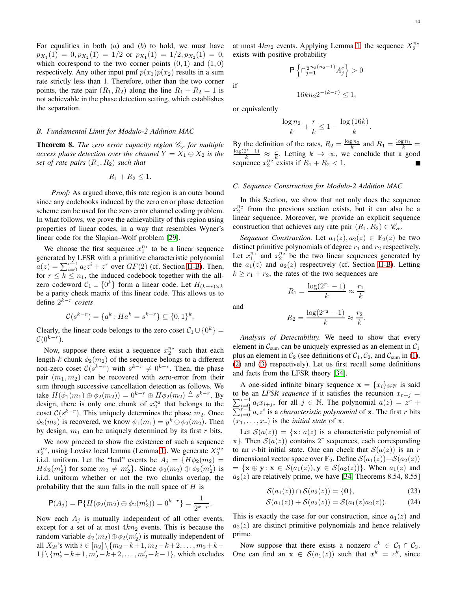For equalities in both  $(a)$  and  $(b)$  to hold, we must have  $p_{X_1}(1) = 0, p_{X_2}(1) = 1/2$  or  $p_{X_1}(1) = 1/2, p_{X_2}(1) = 0$ , which correspond to the two corner points  $(0, 1)$  and  $(1, 0)$ respectively. Any other input pmf  $p(x_1)p(x_2)$  results in a sum rate strictly less than 1. Therefore, other than the two corner points, the rate pair  $(R_1, R_2)$  along the line  $R_1 + R_2 = 1$  is not achievable in the phase detection setting, which establishes the separation.

#### <span id="page-13-0"></span>*B. Fundamental Limit for Modulo-2 Addition MAC*

**Theorem 8.** *The zero error capacity region*  $\mathcal{C}_{ze}$  *for multiple access phase detection over the channel*  $Y = X_1 \oplus X_2$  *is the set of rate pairs*  $(R_1, R_2)$  *such that* 

$$
R_1 + R_2 \leq 1.
$$

*Proof:* As argued above, this rate region is an outer bound since any codebooks induced by the zero error phase detection scheme can be used for the zero error channel coding problem. In what follows, we prove the achievability of this region using properties of linear codes, in a way that resembles Wyner's linear code for the Slapian–Wolf problem [\[29\]](#page-15-1).

We choose the first sequence  $x_1^{n_1}$  to be a linear sequence generated by LFSR with a primitive characteristic polynomial  $a(z) = \sum_{i=0}^{r-1} a_i z^i + z^r$  over  $GF(2)$  (cf. Section [II-B\)](#page-3-1). Then, for  $r \leq k \leq n_1$ , the induced codebook together with the allzero codeword  $C_1 \cup \{0^k\}$  form a linear code. Let  $H_{(k-r)\times k}$ be a parity check matrix of this linear code. This allows us to define 2 k−r *cosets*

$$
\mathcal{C}(s^{k-r}) = \{a^k \colon Ha^k = s^{k-r}\} \subseteq \{0,1\}^k.
$$

Clearly, the linear code belongs to the zero coset  $C_1 \cup \{0^k\} =$  $\mathcal{C}(0^{k-r}).$ 

Now, suppose there exist a sequence  $x_2^{n_2}$  such that each length-k chunk  $\phi_2(m_2)$  of the sequence belongs to a different non-zero coset  $C(s^{k-r})$  with  $s^{k-r} \neq 0^{k-r}$ . Then, the phase pair  $(m_1, m_2)$  can be recovered with zero-error from their sum through successive cancellation detection as follows. We take  $H(\phi_1(m_1) \oplus \phi_2(m_2)) = 0^{k-r} \oplus H\phi_2(m_2) \triangleq s^{k-r}$ . By design, there is only one chunk of  $x_2^{n_2}$  that belongs to the coset  $C(s^{k-r})$ . This uniquely determines the phase  $m_2$ . Once  $\phi_2(m_2)$  is recovered, we know  $\phi_1(m_1) = y^k \oplus \phi_2(m_2)$ . Then by design,  $m_1$  can be uniquely determined by its first r bits.

We now proceed to show the existence of such a sequence  $x_2^{n_2}$ , using Lovász local lemma (Lemma [1\)](#page-3-3). We generate  $X_2^{n_2}$ i.i.d. uniform. Let the "bad" events be  $A_i = \{H\phi_2(m_2) =$  $H\phi_2(m'_2)$  for some  $m_2 \neq m'_2$ . Since  $\phi_2(m_2) \oplus \phi_2(m'_2)$  is i.i.d. uniform whether or not the two chunks overlap, the probability that the sum falls in the null space of  $H$  is

$$
\mathsf{P}(A_j) = \mathsf{P}\{H(\phi_2(m_2) \oplus \phi_2(m'_2)) = 0^{k-r}\} = \frac{1}{2^{k-r}}.
$$

Now each  $A_j$  is mutually independent of all other events, except for a set of at most  $4kn_2$  events. This is because the random variable  $\phi_2(m_2) \oplus \phi_2(m'_2)$  is mutually independent of all  $X_{2i}$ 's with  $i \in [n_2] \setminus \{m_2 - k + 1, m_2 - k + 2, \ldots, m_2 + k - \}$  $1\} \setminus \{m'_2 - k + 1, m'_2 - k + 2, \ldots, m'_2 + k - 1\}$ , which excludes

at most  $4kn_2$  events. Applying Lemma [1,](#page-3-3) the sequence  $X_2^{n_2}$ exists with positive probability

 $\frac{\frac{1}{2}n_2(n_2-1)}{j=1}A_j^c$  > 0

P n ∩

if

or equivalently

$$
\frac{\log n_2}{k} + \frac{r}{k} \le 1 - \frac{\log (16k)}{k}.
$$

 $16kn_22^{-(k-r)} \leq 1,$ 

By the definition of the rates,  $R_2 = \frac{\log n_2}{k}$  and  $R_1 = \frac{\log n_1}{k}$  $\frac{\log(2^r-1)}{k} \approx \frac{r}{k}$ . Letting  $k \to \infty$ , we conclude that a good sequence  $x_2^{n_2}$  exists if  $R_1 + R_2 < 1$ .

# <span id="page-13-1"></span>*C. Sequence Construction for Modulo-2 Addition MAC*

In this Section, we show that not only does the sequence  $x_2^{n_2}$  from the previous section exists, but it can also be a linear sequence. Moreover, we provide an explicit sequence construction that achieves any rate pair  $(R_1, R_2) \in \mathscr{C}_{\text{ze}}$ .

*Sequence Construction.* Let  $a_1(z), a_2(z) \in \mathbb{F}_2(z)$  be two distinct primitive polynomials of degree  $r_1$  and  $r_2$  respectively. Let  $x_1^{n_1}$  and  $x_2^{n_2}$  be the two linear sequences generated by the  $a_1(z)$  and  $a_2(z)$  respectively (cf. Section [II-B\)](#page-3-1). Letting  $k \geq r_1 + r_2$ , the rates of the two sequences are

$$
R_1 = \frac{\log(2^{r_1} - 1)}{k} \approx \frac{r_1}{k}
$$

$$
R_2 = \frac{\log(2^{r_2} - 1)}{k} \approx \frac{r_2}{k}.
$$

*Analysis of Detectability.* We need to show that every element in  $C_{sum}$  can be uniquely expressed as an element in  $C_1$ plus an element in  $C_2$  (see definitions of  $C_1$ ,  $C_2$ , and  $C_{sum}$  in [\(1\)](#page-2-2), [\(2\)](#page-2-3) and [\(3\)](#page-2-4) respectively). Let us first recall some definitions and facts from the LFSR theory [\[34\]](#page-15-6).

A one-sided infinite binary sequence  $\mathbf{x} = \{x_i\}_{i \in \mathbb{N}}$  is said  $\sum_{i=0}^{r-1} a_i x_{i+j}$ , for all  $j \in \mathbb{N}$ . The polynomial  $a(z) = z$ to be an *LFSR sequence* if it satisfies the recursion  $x_{r+j} =$ P  $r +$  $\lim_{i=0}^{r-1} a_i z^i$  is a *characteristic polynomial* of **x**. The first r bits  $(x_1, \ldots, x_r)$  is the *initial state* of **x**.

Let  $S(a(z)) = {\mathbf{x}: a(z)$  is a characteristic polynomial of x}. Then  $S(a(z))$  contains 2<sup>r</sup> sequences, each corresponding to an r-bit initial state. One can check that  $S(a(z))$  is an r dimensional vector space over  $\mathbb{F}_2$ . Define  $\mathcal{S}(a_1(z)) + \mathcal{S}(a_2(z))$  $= {\mathbf{x} \oplus \mathbf{y} : \mathbf{x} \in \mathcal{S}(a_1(z)), \mathbf{y} \in \mathcal{S}(a_2(z)) }$ . When  $a_1(z)$  and  $a_2(z)$  are relatively prime, we have [\[34,](#page-15-6) Theorems 8.54, 8.55]

<span id="page-13-3"></span><span id="page-13-2"></span>
$$
\mathcal{S}(a_1(z)) \cap \mathcal{S}(a_2(z)) = \{0\},\tag{23}
$$

$$
S(a_1(z)) + S(a_2(z)) = S(a_1(z)a_2(z)).
$$
 (24)

This is exactly the case for our construction, since  $a_1(z)$  and  $a_2(z)$  are distinct primitive polynomials and hence relatively prime.

Now suppose that there exists a nonzero  $c^k \in C_1 \cap C_2$ . One can find an  $x \in S(a_1(z))$  such that  $x^k = c^k$ , since

and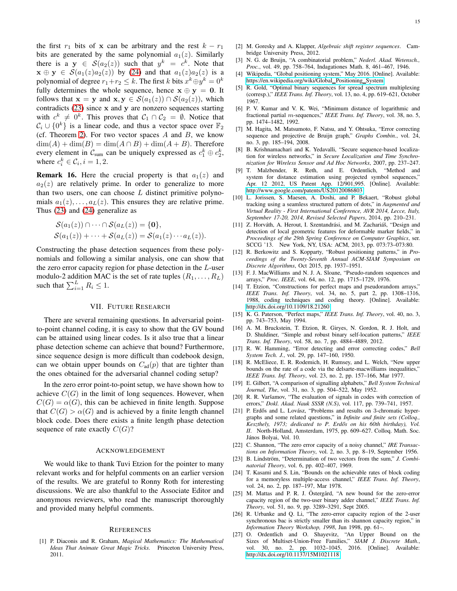the first  $r_1$  bits of x can be arbitrary and the rest  $k - r_1$ bits are generated by the same polynomial  $a_1(z)$ . Similarly there is a  $y \in S(a_2(z))$  such that  $y^k = c^k$ . Note that  $\mathbf{x} \oplus \mathbf{y} \in \mathcal{S}(a_1(z)a_2(z))$  by [\(24\)](#page-13-2) and that  $a_1(z)a_2(z)$  is a polynomial of degree  $r_1+r_2 \leq k$ . The first k bits  $x^k \oplus y^k = 0^k$ fully determines the whole sequence, hence  $x \oplus y = 0$ . It follows that  $\mathbf{x} = \mathbf{y}$  and  $\mathbf{x}, \mathbf{y} \in \mathcal{S}(a_1(z)) \cap \mathcal{S}(a_2(z))$ , which contradicts  $(23)$  since x and y are nonzero sequences starting with  $c^k \neq 0^k$ . This proves that  $C_1 \cap C_2 = \emptyset$ . Notice that  $\mathcal{C}_i \cup \{0^k\}$  is a linear code, and thus a vector space over  $\mathbb{F}_2$ (cf. Theorem [2\)](#page-3-7). For two vector spaces  $A$  and  $B$ , we know  $\dim(A) + \dim(B) = \dim(A \cap B) + \dim(A + B)$ . Therefore every element in  $C_{sum}$  can be uniquely expressed as  $c_1^k \oplus c_2^k$ , where  $c_i^k \in \mathcal{C}_i, i = 1, 2$ .

**Remark 16.** Here the crucial property is that  $a_1(z)$  and  $a_2(z)$  are relatively prime. In order to generalize to more than two users, one can choose  $L$  distinct primitive polynomials  $a_1(z), \ldots, a_L(z)$ . This ensures they are relative prime. Thus [\(23\)](#page-13-3) and [\(24\)](#page-13-2) generalize as

$$
\mathcal{S}(a_1(z)) \cap \cdots \cap \mathcal{S}(a_L(z)) = \{\mathbf{0}\},
$$
  

$$
\mathcal{S}(a_1(z)) + \cdots + \mathcal{S}(a_L(z)) = \mathcal{S}(a_1(z) \cdots a_L(z)).
$$

Constructing the phase detection sequences from these polynomials and following a similar analysis, one can show that the zero error capacity region for phase detection in the L-user modulo-2 addition MAC is the set of rate tuples  $(R_1, \ldots, R_L)$ such that  $\sum_{i=1}^{L} R_i \leq 1$ .

# VII. FUTURE RESEARCH

There are several remaining questions. In adversarial pointto-point channel coding, it is easy to show that the GV bound can be attained using linear codes. Is it also true that a linear phase detection scheme can achieve that bound? Furthermore, since sequence design is more difficult than codebook design, can we obtain upper bounds on  $C_{ad}(p)$  that are tighter than the ones obtained for the adversarial channel coding setup?

In the zero error point-to-point setup, we have shown how to achieve  $C(G)$  in the limit of long sequences. However, when  $C(G) = \alpha(G)$ , this can be achieved in finite length. Suppose that  $C(G) > \alpha(G)$  and is achieved by a finite length channel block code. Does there exists a finite length phase detection sequence of rate exactly  $C(G)$ ?

#### ACKNOWLEDGEMENT

We would like to thank Tuvi Etzion for the pointer to many relevant works and for helpful comments on an earlier version of the results. We are grateful to Ronny Roth for interesting discussions. We are also thankful to the Associate Editor and anonymous reviewers, who read the manuscript thoroughly and provided many helpful comments.

#### **REFERENCES**

<span id="page-14-0"></span>[1] P. Diaconis and R. Graham, *Magical Mathematics: The Mathematical Ideas That Animate Great Magic Tricks*. Princeton University Press, 2011.

- <span id="page-14-1"></span>[2] M. Goresky and A. Klapper, *Algebraic shift register sequences*. Cambridge University Press, 2012.
- <span id="page-14-2"></span>[3] N. G. de Bruijn, "A combinatorial problem," *Nederl. Akad. Wetensch., Proc.*, vol. 49, pp. 758–764, Indagationes Math. 8, 461–467, 1946.
- <span id="page-14-3"></span>[4] Wikipedia, "Global positioning system," May 2016. [Online]. Available: [https://en.wikipedia.org/wiki/Global](https://en.wikipedia.org/wiki/Global_Positioning_System)\_Positioning\_System
- <span id="page-14-4"></span>[5] R. Gold, "Optimal binary sequences for spread spectrum multiplexing (corresp.)," *IEEE Trans. Inf. Theory*, vol. 13, no. 4, pp. 619–621, October 1967.
- <span id="page-14-5"></span>[6] P. V. Kumar and V. K. Wei, "Minimum distance of logarithmic and fractional partial m-sequences," *IEEE Trans. Inf. Theory*, vol. 38, no. 5, pp. 1474–1482, 1992.
- <span id="page-14-6"></span>[7] M. Hagita, M. Matsumoto, F. Natsu, and Y. Ohtsuka, "Error correcting sequence and projective de Bruijn graph," *Graphs Combin.*, vol. 24, no. 3, pp. 185–194, 2008.
- <span id="page-14-7"></span>[8] B. Krishnamachari and K. Yedavalli, "Secure sequence-based localization for wireless networks," in *Secure Localization and Time Synchronization for Wireless Sensor and Ad Hoc Networks*, 2007, pp. 237–247.
- [9] T. Malzbender, R. Reth, and E. Ordentlich, "Method and system for distance estimation using projected symbol sequences," Apr. 12 2012, US Patent App. 12/901,995. [Online]. Available: <http://www.google.com/patents/US20120086803>
- [10] L. Jorissen, S. Maesen, A. Doshi, and P. Bekaert, "Robust global tracking using a seamless structured pattern of dots," in *Augmented and Virtual Reality - First International Conference, AVR 2014, Lecce, Italy, September 17-20, 2014, Revised Selected Papers*, 2014, pp. 210–231.
- [11] Z. Horváth, A. Herout, I. Szentandrási, and M. Zachariáš, "Design and detection of local geometric features for deformable marker fields," in *Proceedings of the 29th Spring Conference on Computer Graphics*, ser. SCCG '13. New York, NY, USA: ACM, 2013, pp. 073:73–073:80.
- <span id="page-14-8"></span>[12] R. Berkowitz and S. Kopparty, "Robust positioning patterns," in *Proceedings of the Twenty-Seventh Annual ACM-SIAM Symposium on Discrete Algorithms*, Oct 2015, pp. 1937–1951.
- <span id="page-14-9"></span>[13] F. J. MacWilliams and N. J. A. Sloane, "Pseudo-random sequences and arrays," *Proc. IEEE*, vol. 64, no. 12, pp. 1715–1729, 1976.
- [14] T. Etzion, "Constructions for perfect maps and pseudorandom arrays," *IEEE Trans. Inf. Theory*, vol. 34, no. 5, part 2, pp. 1308–1316, 1988, coding techniques and coding theory. [Online]. Available: <http://dx.doi.org/10.1109/18.21260>
- [15] K. G. Paterson, "Perfect maps," *IEEE Trans. Inf. Theory*, vol. 40, no. 3, pp. 743–753, May 1994.
- <span id="page-14-10"></span>[16] A. M. Bruckstein, T. Etzion, R. Giryes, N. Gordon, R. J. Holt, and D. Shuldiner, "Simple and robust binary self-location patterns," *IEEE Trans. Inf. Theory*, vol. 58, no. 7, pp. 4884–4889, 2012.
- <span id="page-14-11"></span>[17] R. W. Hamming, "Error detecting and error correcting codes," *Bell System Tech. J.*, vol. 29, pp. 147–160, 1950.
- <span id="page-14-12"></span>[18] R. McEliece, E. R. Rodemich, H. Rumsey, and L. Welch, "New upper bounds on the rate of a code via the delsarte-macwilliams inequalities," *IEEE Trans. Inf. Theory*, vol. 23, no. 2, pp. 157–166, Mar 1977.
- <span id="page-14-13"></span>[19] E. Gilbert, "A comparison of signalling alphabets," *Bell System Technical Journal, The*, vol. 31, no. 3, pp. 504–522, May 1952.
- <span id="page-14-14"></span>[20] R. R. Varšamov, "The evaluation of signals in codes with correction of errors," *Dokl. Akad. Nauk SSSR (N.S)*, vol. 117, pp. 739–741, 1957.
- <span id="page-14-15"></span>[21] P. Erdős and L. Lovász, "Problems and results on 3-chromatic hypergraphs and some related questions," in *Infinite and finite sets (Colloq., Keszthely, 1973; dedicated to P. Erd˝os on his 60th birthday), Vol. II*. North-Holland, Amsterdam, 1975, pp. 609–627. Colloq. Math. Soc. János Bolyai, Vol. 10.
- <span id="page-14-16"></span>[22] C. Shannon, "The zero error capacity of a noisy channel," *IRE Transactions on Information Theory*, vol. 2, no. 3, pp. 8–19, September 1956.
- <span id="page-14-17"></span>[23] B. Lindström, "Determination of two vectors from the sum," *J. Combinatorial Theory*, vol. 6, pp. 402–407, 1969.
- [24] T. Kasami and S. Lin, "Bounds on the achievable rates of block coding for a memoryless multiple-access channel," *IEEE Trans. Inf. Theory*, vol. 24, no. 2, pp. 187–197, Mar 1978.
- [25] M. Mattas and P. R. J. Östergård, "A new bound for the zero-error capacity region of the two-user binary adder channel," *IEEE Trans. Inf. Theory*, vol. 51, no. 9, pp. 3289–3291, Sept 2005.
- [26] R. Urbanke and Q. Li, "The zero-error capacity region of the 2-user synchronous bac is strictly smaller than its shannon capacity region," in *Information Theory Workshop, 1998*, Jun 1998, pp. 61–.
- [27] O. Ordentlich and O. Shayevitz, "An Upper Bound on the Sizes of Multiset-Union-Free Families," *SIAM J. Discrete Math.*, vol. 30, no. 2, pp. 1032–1045, 2016. [Online]. Available: <http://dx.doi.org/10.1137/15M1021118>